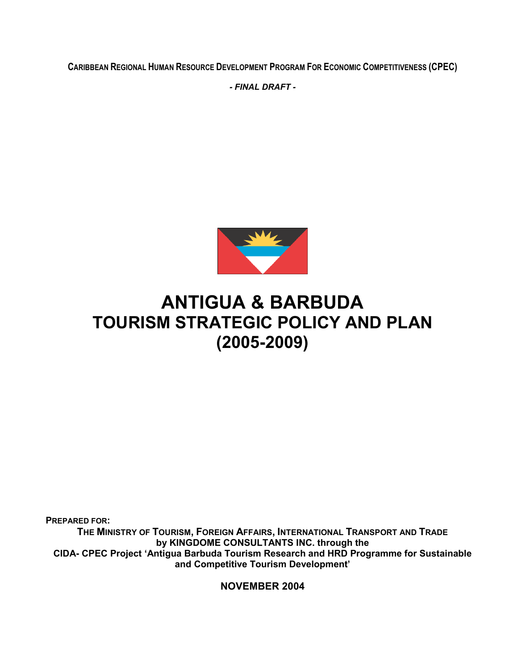CARIBBEAN REGIONAL HUMAN RESOURCE DEVELOPMENT PROGRAM FOR ECONOMIC COMPETITIVENESS (CPEC)

- FINAL DRAFT -



# ANTIGUA & BARBUDA TOURISM STRATEGIC POLICY AND PLAN (2005-2009)

PREPARED FOR:

THE MINISTRY OF TOURISM, FOREIGN AFFAIRS, INTERNATIONAL TRANSPORT AND TRADE by KINGDOME CONSULTANTS INC. through the CIDA- CPEC Project 'Antigua Barbuda Tourism Research and HRD Programme for Sustainable and Competitive Tourism Development'

NOVEMBER 2004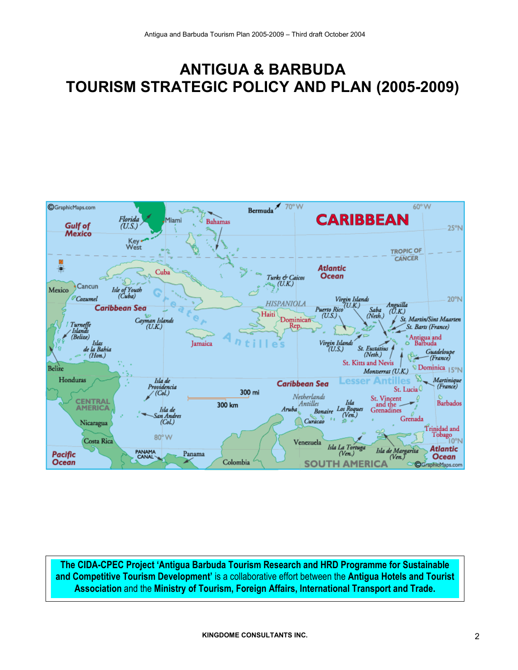# ANTIGUA & BARBUDA TOURISM STRATEGIC POLICY AND PLAN (2005-2009)



The CIDA-CPEC Project 'Antigua Barbuda Tourism Research and HRD Programme for Sustainable and Competitive Tourism Development' is a collaborative effort between the Antigua Hotels and Tourist Association and the Ministry of Tourism, Foreign Affairs, International Transport and Trade.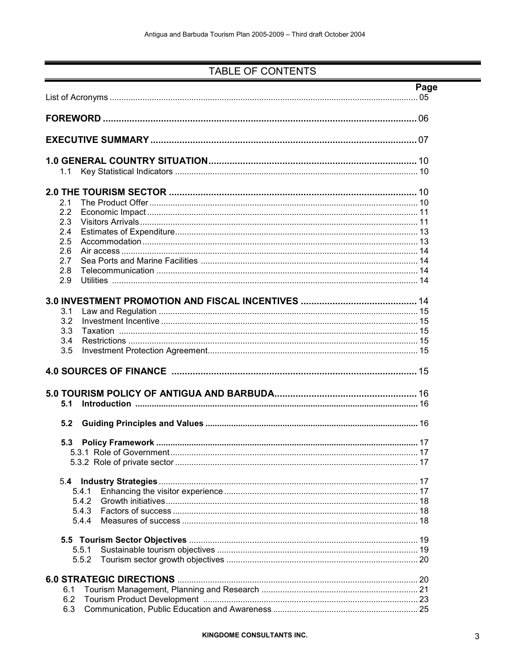## TABLE OF CONTENTS

|     |       | Page |
|-----|-------|------|
|     |       |      |
|     |       |      |
| 1.1 |       |      |
|     |       |      |
| 2.1 |       |      |
| 2.2 |       |      |
|     |       |      |
| 2.3 |       |      |
| 2.4 |       |      |
| 2.5 |       |      |
| 2.6 |       |      |
| 2.7 |       |      |
| 2.8 |       |      |
| 2.9 |       |      |
|     |       |      |
| 3.1 |       |      |
| 3.2 |       |      |
| 3.3 |       |      |
| 3.4 |       |      |
| 3.5 |       |      |
|     |       |      |
|     |       |      |
| 5.1 |       |      |
| 5.2 |       |      |
| 5.3 |       |      |
|     |       |      |
|     |       |      |
| 5.4 |       |      |
|     | 5.4.1 |      |
|     | 5.4.2 |      |
|     | 5.4.3 |      |
|     | 5.4.4 |      |
|     |       |      |
|     | 5.5.1 |      |
|     | 5.5.2 |      |
|     |       |      |
| 6.1 |       |      |
| 6.2 |       |      |
| 6.3 |       |      |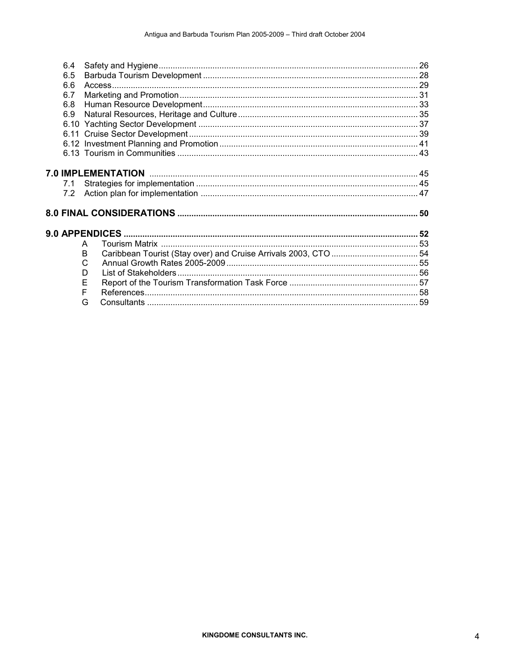| 6.4 |   |  |
|-----|---|--|
| 6.5 |   |  |
| 6.6 |   |  |
| 6.7 |   |  |
| 6.8 |   |  |
| 6.9 |   |  |
|     |   |  |
|     |   |  |
|     |   |  |
|     |   |  |
|     |   |  |
|     |   |  |
| 7.1 |   |  |
|     |   |  |
|     |   |  |
|     |   |  |
|     |   |  |
|     |   |  |
|     | A |  |
|     | B |  |
|     | C |  |
|     | D |  |
|     | Е |  |
|     | F |  |
|     | G |  |
|     |   |  |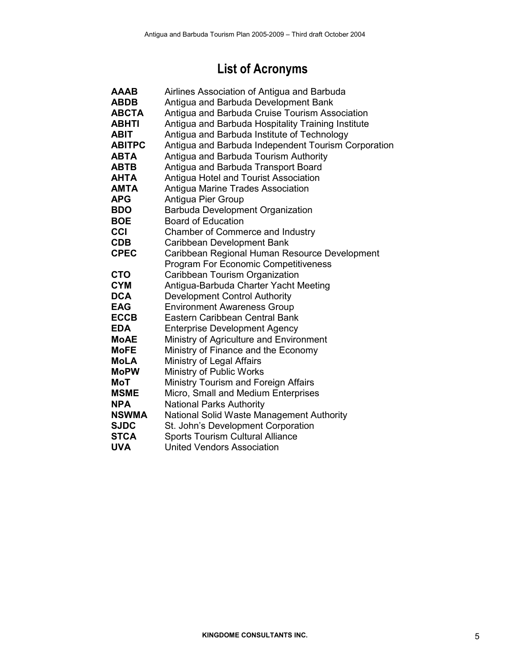# List of Acronyms

| <b>AAAB</b>   |                                                     |
|---------------|-----------------------------------------------------|
|               | Airlines Association of Antigua and Barbuda         |
| <b>ABDB</b>   | Antigua and Barbuda Development Bank                |
| <b>ABCTA</b>  | Antigua and Barbuda Cruise Tourism Association      |
| ABHTI         | Antigua and Barbuda Hospitality Training Institute  |
| <b>ABIT</b>   | Antigua and Barbuda Institute of Technology         |
| <b>ABITPC</b> | Antigua and Barbuda Independent Tourism Corporation |
| <b>ABTA</b>   | Antigua and Barbuda Tourism Authority               |
| <b>ABTB</b>   | Antigua and Barbuda Transport Board                 |
| AHTA          | Antigua Hotel and Tourist Association               |
| AMTA          | Antigua Marine Trades Association                   |
| <b>APG</b>    | Antigua Pier Group                                  |
| <b>BDO</b>    | <b>Barbuda Development Organization</b>             |
| <b>BOE</b>    | <b>Board of Education</b>                           |
| CCI           | Chamber of Commerce and Industry                    |
| <b>CDB</b>    | Caribbean Development Bank                          |
| <b>CPEC</b>   | Caribbean Regional Human Resource Development       |
|               | <b>Program For Economic Competitiveness</b>         |
| <b>CTO</b>    | Caribbean Tourism Organization                      |
| <b>CYM</b>    | Antigua-Barbuda Charter Yacht Meeting               |
| <b>DCA</b>    | <b>Development Control Authority</b>                |
| <b>EAG</b>    | <b>Environment Awareness Group</b>                  |
| <b>ECCB</b>   | Eastern Caribbean Central Bank                      |
| <b>EDA</b>    | <b>Enterprise Development Agency</b>                |
| <b>MoAE</b>   | Ministry of Agriculture and Environment             |
| <b>MoFE</b>   | Ministry of Finance and the Economy                 |
| MoLA          | Ministry of Legal Affairs                           |
| <b>MoPW</b>   | Ministry of Public Works                            |
| <b>MoT</b>    | Ministry Tourism and Foreign Affairs                |
| <b>MSME</b>   | Micro, Small and Medium Enterprises                 |
| <b>NPA</b>    | <b>National Parks Authority</b>                     |
| <b>NSWMA</b>  | National Solid Waste Management Authority           |
| <b>SJDC</b>   | St. John's Development Corporation                  |
| <b>STCA</b>   | <b>Sports Tourism Cultural Alliance</b>             |
| <b>UVA</b>    | <b>United Vendors Association</b>                   |
|               |                                                     |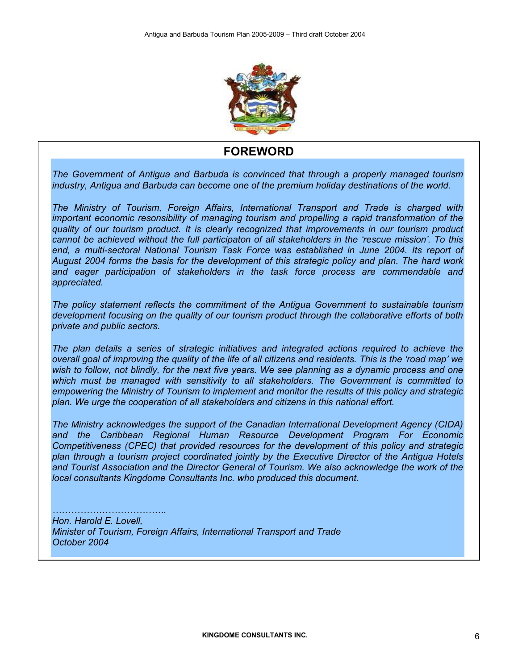

## FOREWORD

The Government of Antigua and Barbuda is convinced that through a properly managed tourism industry, Antigua and Barbuda can become one of the premium holiday destinations of the world.

The Ministry of Tourism, Foreign Affairs, International Transport and Trade is charged with important economic resonsibility of managing tourism and propelling a rapid transformation of the quality of our tourism product. It is clearly recognized that improvements in our tourism product cannot be achieved without the full participaton of all stakeholders in the 'rescue mission'. To this end, a multi-sectoral National Tourism Task Force was established in June 2004. Its report of August 2004 forms the basis for the development of this strategic policy and plan. The hard work and eager participation of stakeholders in the task force process are commendable and appreciated.

The policy statement reflects the commitment of the Antigua Government to sustainable tourism development focusing on the quality of our tourism product through the collaborative efforts of both private and public sectors.

The plan details a series of strategic initiatives and integrated actions required to achieve the overall goal of improving the quality of the life of all citizens and residents. This is the 'road map' we wish to follow, not blindly, for the next five years. We see planning as a dynamic process and one which must be managed with sensitivity to all stakeholders. The Government is committed to empowering the Ministry of Tourism to implement and monitor the results of this policy and strategic plan. We urge the cooperation of all stakeholders and citizens in this national effort.

The Ministry acknowledges the support of the Canadian International Development Agency (CIDA) and the Caribbean Regional Human Resource Development Program For Economic Competitiveness (CPEC) that provided resources for the development of this policy and strategic plan through a tourism project coordinated jointly by the Executive Director of the Antigua Hotels and Tourist Association and the Director General of Tourism. We also acknowledge the work of the local consultants Kingdome Consultants Inc. who produced this document.

#### ………………………………. Hon. Harold E. Lovell, Minister of Tourism, Foreign Affairs, International Transport and Trade October 2004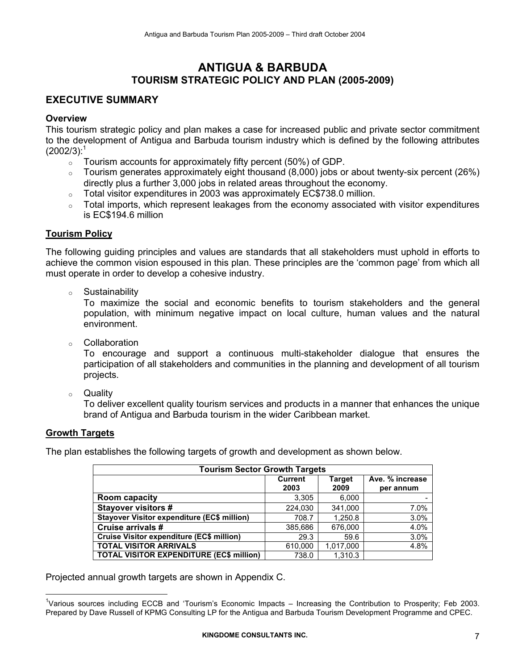## ANTIGUA & BARBUDA TOURISM STRATEGIC POLICY AND PLAN (2005-2009)

## EXECUTIVE SUMMARY

### **Overview**

This tourism strategic policy and plan makes a case for increased public and private sector commitment to the development of Antigua and Barbuda tourism industry which is defined by the following attributes  $(2002/3)^{1}$ 

- $\circ$  Tourism accounts for approximately fifty percent (50%) of GDP.
- $\circ$  Tourism generates approximately eight thousand (8,000) jobs or about twenty-six percent (26%) directly plus a further 3,000 jobs in related areas throughout the economy.
- Total visitor expenditures in 2003 was approximately EC\$738.0 million.
- o Total imports, which represent leakages from the economy associated with visitor expenditures is EC\$194.6 million

#### Tourism Policy

The following guiding principles and values are standards that all stakeholders must uphold in efforts to achieve the common vision espoused in this plan. These principles are the 'common page' from which all must operate in order to develop a cohesive industry.

o Sustainability

To maximize the social and economic benefits to tourism stakeholders and the general population, with minimum negative impact on local culture, human values and the natural environment.

o Collaboration

To encourage and support a continuous multi-stakeholder dialogue that ensures the participation of all stakeholders and communities in the planning and development of all tourism projects.

o Quality

To deliver excellent quality tourism services and products in a manner that enhances the unique brand of Antigua and Barbuda tourism in the wider Caribbean market.

#### Growth Targets

 $\overline{a}$ 

The plan establishes the following targets of growth and development as shown below.

| <b>Tourism Sector Growth Targets</b>               |                        |                       |                              |  |  |
|----------------------------------------------------|------------------------|-----------------------|------------------------------|--|--|
|                                                    | <b>Current</b><br>2003 | <b>Target</b><br>2009 | Ave. % increase<br>per annum |  |  |
| <b>Room capacity</b>                               | 3,305                  | 6,000                 |                              |  |  |
| <b>Stayover visitors #</b>                         | 224,030                | 341,000               | 7.0%                         |  |  |
| <b>Stayover Visitor expenditure (EC\$ million)</b> | 708.7                  | 1,250.8               | 3.0%                         |  |  |
| Cruise arrivals #                                  | 385,686                | 676,000               | 4.0%                         |  |  |
| Cruise Visitor expenditure (EC\$ million)          | 29.3                   | 59.6                  | 3.0%                         |  |  |
| <b>TOTAL VISITOR ARRIVALS</b>                      | 610,000                | 1,017,000             | 4.8%                         |  |  |
| <b>TOTAL VISITOR EXPENDITURE (EC\$ million)</b>    | 738.0                  | 1,310.3               |                              |  |  |

Projected annual growth targets are shown in Appendix C.

<sup>&</sup>lt;sup>1</sup>Various sources including ECCB and 'Tourism's Economic Impacts – Increasing the Contribution to Prosperity; Feb 2003. Prepared by Dave Russell of KPMG Consulting LP for the Antigua and Barbuda Tourism Development Programme and CPEC.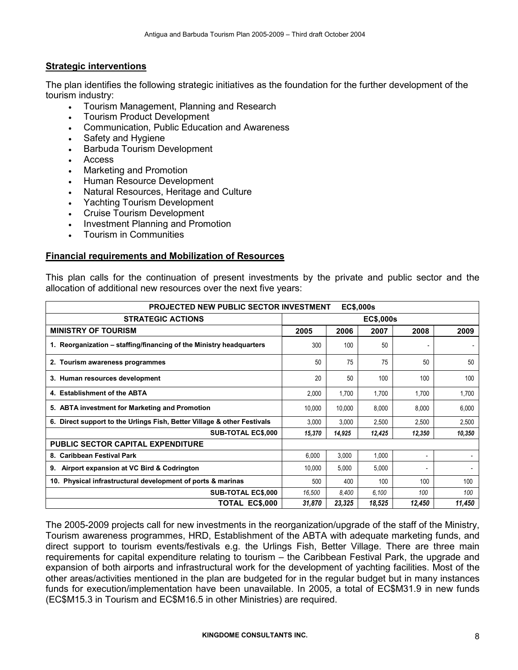### Strategic interventions

The plan identifies the following strategic initiatives as the foundation for the further development of the tourism industry:

- Tourism Management, Planning and Research
- Tourism Product Development
- Communication, Public Education and Awareness
- Safety and Hygiene
- Barbuda Tourism Development
- Access
- Marketing and Promotion
- Human Resource Development
- Natural Resources, Heritage and Culture
- Yachting Tourism Development
- Cruise Tourism Development
- Investment Planning and Promotion
- Tourism in Communities

#### Financial requirements and Mobilization of Resources

This plan calls for the continuation of present investments by the private and public sector and the allocation of additional new resources over the next five years:

| EC\$,000s<br><b>PROJECTED NEW PUBLIC SECTOR INVESTMENT</b>              |        |        |                  |        |        |
|-------------------------------------------------------------------------|--------|--------|------------------|--------|--------|
| <b>STRATEGIC ACTIONS</b>                                                |        |        | <b>EC\$,000s</b> |        |        |
| <b>MINISTRY OF TOURISM</b>                                              | 2005   | 2006   | 2007             | 2008   | 2009   |
| 1. Reorganization – staffing/financing of the Ministry headquarters     | 300    | 100    | 50               |        |        |
| 2. Tourism awareness programmes                                         | 50     | 75     | 75               | 50     | 50     |
| 3. Human resources development                                          | 20     | 50     | 100              | 100    | 100    |
| 4. Establishment of the ABTA                                            | 2,000  | 1,700  | 1,700            | 1,700  | 1,700  |
| 5. ABTA investment for Marketing and Promotion                          | 10.000 | 10,000 | 8,000            | 8,000  | 6,000  |
| 6. Direct support to the Urlings Fish, Better Village & other Festivals | 3.000  | 3,000  | 2,500            | 2,500  | 2,500  |
| <b>SUB-TOTAL EC\$,000</b>                                               | 15,370 | 14,925 | 12,425           | 12,350 | 10,350 |
| <b>PUBLIC SECTOR CAPITAL EXPENDITURE</b>                                |        |        |                  |        |        |
| 8. Caribbean Festival Park                                              | 6,000  | 3,000  | 1,000            |        |        |
| 9. Airport expansion at VC Bird & Codrington                            | 10,000 | 5,000  | 5,000            |        |        |
| 10. Physical infrastructural development of ports & marinas             | 500    | 400    | 100              | 100    | 100    |
| <b>SUB-TOTAL EC\$,000</b>                                               | 16,500 | 8,400  | 6,100            | 100    | 100    |
| TOTAL EC\$,000                                                          | 31,870 | 23,325 | 18,525           | 12,450 | 11,450 |

The 2005-2009 projects call for new investments in the reorganization/upgrade of the staff of the Ministry, Tourism awareness programmes, HRD, Establishment of the ABTA with adequate marketing funds, and direct support to tourism events/festivals e.g. the Urlings Fish, Better Village. There are three main requirements for capital expenditure relating to tourism – the Caribbean Festival Park, the upgrade and expansion of both airports and infrastructural work for the development of yachting facilities. Most of the other areas/activities mentioned in the plan are budgeted for in the regular budget but in many instances funds for execution/implementation have been unavailable. In 2005, a total of EC\$M31.9 in new funds (EC\$M15.3 in Tourism and EC\$M16.5 in other Ministries) are required.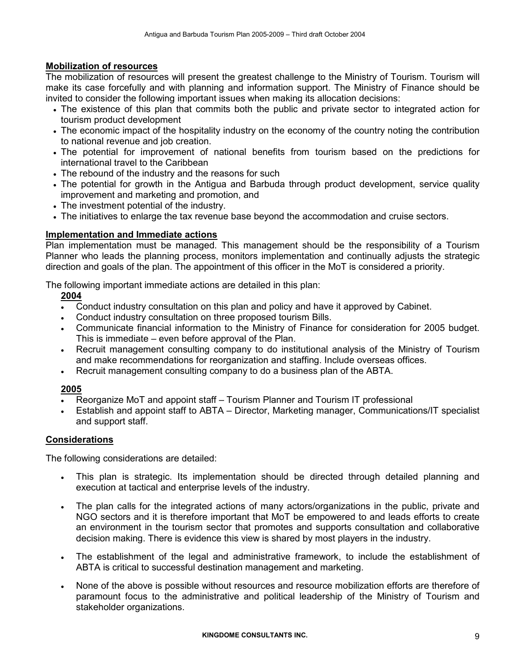## Mobilization of resources

The mobilization of resources will present the greatest challenge to the Ministry of Tourism. Tourism will make its case forcefully and with planning and information support. The Ministry of Finance should be invited to consider the following important issues when making its allocation decisions:

- The existence of this plan that commits both the public and private sector to integrated action for tourism product development
- The economic impact of the hospitality industry on the economy of the country noting the contribution to national revenue and job creation.
- The potential for improvement of national benefits from tourism based on the predictions for international travel to the Caribbean
- The rebound of the industry and the reasons for such
- The potential for growth in the Antigua and Barbuda through product development, service quality improvement and marketing and promotion, and
- The investment potential of the industry.
- The initiatives to enlarge the tax revenue base beyond the accommodation and cruise sectors.

## Implementation and Immediate actions

Plan implementation must be managed. This management should be the responsibility of a Tourism Planner who leads the planning process, monitors implementation and continually adjusts the strategic direction and goals of the plan. The appointment of this officer in the MoT is considered a priority.

The following important immediate actions are detailed in this plan:

2004

- Conduct industry consultation on this plan and policy and have it approved by Cabinet.
- Conduct industry consultation on three proposed tourism Bills.
- Communicate financial information to the Ministry of Finance for consideration for 2005 budget. This is immediate – even before approval of the Plan.
- Recruit management consulting company to do institutional analysis of the Ministry of Tourism and make recommendations for reorganization and staffing. Include overseas offices.
- Recruit management consulting company to do a business plan of the ABTA.

## 2005

- Reorganize MoT and appoint staff Tourism Planner and Tourism IT professional
- Establish and appoint staff to ABTA Director, Marketing manager, Communications/IT specialist and support staff.

## Considerations

The following considerations are detailed:

- This plan is strategic. Its implementation should be directed through detailed planning and execution at tactical and enterprise levels of the industry.
- The plan calls for the integrated actions of many actors/organizations in the public, private and NGO sectors and it is therefore important that MoT be empowered to and leads efforts to create an environment in the tourism sector that promotes and supports consultation and collaborative decision making. There is evidence this view is shared by most players in the industry.
- The establishment of the legal and administrative framework, to include the establishment of ABTA is critical to successful destination management and marketing.
- None of the above is possible without resources and resource mobilization efforts are therefore of paramount focus to the administrative and political leadership of the Ministry of Tourism and stakeholder organizations.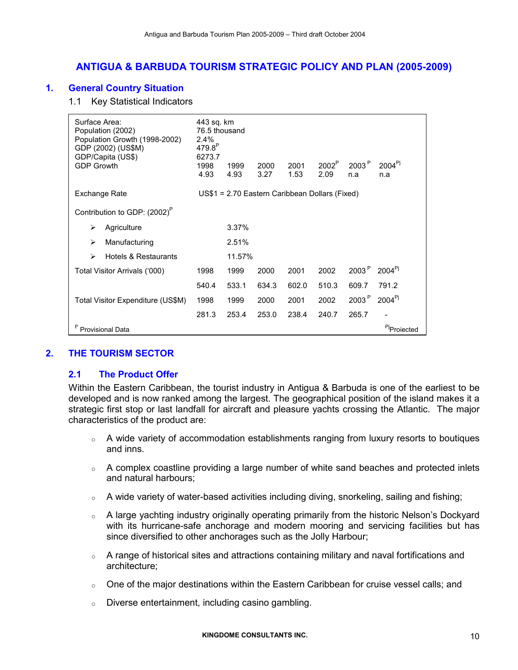## ANTIGUA & BARBUDA TOURISM STRATEGIC POLICY AND PLAN (2005-2009)

## 1. General Country Situation

1.1 Key Statistical Indicators

| Surface Area:<br>Population (2002)<br>Population Growth (1998-2002)<br>GDP (2002) (US\$M)<br>GDP/Capita (US\$)<br><b>GDP Growth</b> | 443 sq. km<br>76.5 thousand<br>2.4%<br>479.8 <sup>P</sup><br>6273.7<br>1998<br>4.93 | 1999<br>4.93 | 2000<br>3.27 | 2001<br>1.53 | 2002 <sup>P</sup><br>2.09                      | 2003 <sup>P</sup><br>n.a | $2004^{Pj}$<br>n.a      |
|-------------------------------------------------------------------------------------------------------------------------------------|-------------------------------------------------------------------------------------|--------------|--------------|--------------|------------------------------------------------|--------------------------|-------------------------|
| Exchange Rate                                                                                                                       |                                                                                     |              |              |              | US\$1 = 2.70 Eastern Caribbean Dollars (Fixed) |                          |                         |
| Contribution to GDP: (2002) <sup>P</sup>                                                                                            |                                                                                     |              |              |              |                                                |                          |                         |
| Agriculture<br>⋗                                                                                                                    |                                                                                     | 3.37%        |              |              |                                                |                          |                         |
| Manufacturing<br>↘                                                                                                                  |                                                                                     | 2.51%        |              |              |                                                |                          |                         |
| Hotels & Restaurants<br>⋗                                                                                                           |                                                                                     | 11.57%       |              |              |                                                |                          |                         |
| Total Visitor Arrivals ('000)                                                                                                       | 1998                                                                                | 1999         | 2000         | 2001         | 2002                                           | 2003 <sup>P</sup>        | $2004^{PJ}$             |
|                                                                                                                                     | 540.4                                                                               | 533.1        | 634.3        | 602.0        | 510.3                                          | 609.7                    | 791.2                   |
| Total Visitor Expenditure (US\$M)                                                                                                   | 1998                                                                                | 1999         | 2000         | 2001         | 2002                                           | 2003 <sup>P</sup>        | $2004^{Pj}$             |
|                                                                                                                                     | 281.3                                                                               | 253.4        | 253.0        | 238.4        | 240.7                                          | 265.7                    |                         |
| <b>Provisional Data</b>                                                                                                             |                                                                                     |              |              |              |                                                |                          | <sup>Pj</sup> Proiected |

## 2. THE TOURISM SECTOR

## 2.1 The Product Offer

Within the Eastern Caribbean, the tourist industry in Antigua & Barbuda is one of the earliest to be developed and is now ranked among the largest. The geographical position of the island makes it a strategic first stop or last landfall for aircraft and pleasure yachts crossing the Atlantic. The major characteristics of the product are:

- $\circ$  A wide variety of accommodation establishments ranging from luxury resorts to boutiques and inns.
- $\circ$  A complex coastline providing a large number of white sand beaches and protected inlets and natural harbours;
- o A wide variety of water-based activities including diving, snorkeling, sailing and fishing;
- o A large yachting industry originally operating primarily from the historic Nelson's Dockyard with its hurricane-safe anchorage and modern mooring and servicing facilities but has since diversified to other anchorages such as the Jolly Harbour;
- $\circ$  A range of historical sites and attractions containing military and naval fortifications and architecture;
- $\circ$  One of the major destinations within the Eastern Caribbean for cruise vessel calls; and
- o Diverse entertainment, including casino gambling.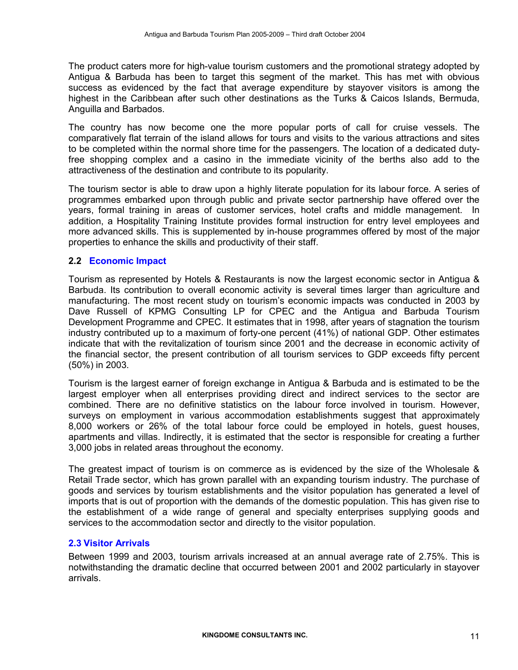The product caters more for high-value tourism customers and the promotional strategy adopted by Antigua & Barbuda has been to target this segment of the market. This has met with obvious success as evidenced by the fact that average expenditure by stayover visitors is among the highest in the Caribbean after such other destinations as the Turks & Caicos Islands, Bermuda, Anguilla and Barbados.

The country has now become one the more popular ports of call for cruise vessels. The comparatively flat terrain of the island allows for tours and visits to the various attractions and sites to be completed within the normal shore time for the passengers. The location of a dedicated dutyfree shopping complex and a casino in the immediate vicinity of the berths also add to the attractiveness of the destination and contribute to its popularity.

The tourism sector is able to draw upon a highly literate population for its labour force. A series of programmes embarked upon through public and private sector partnership have offered over the years, formal training in areas of customer services, hotel crafts and middle management. In addition, a Hospitality Training Institute provides formal instruction for entry level employees and more advanced skills. This is supplemented by in-house programmes offered by most of the major properties to enhance the skills and productivity of their staff.

## 2.2 Economic Impact

Tourism as represented by Hotels & Restaurants is now the largest economic sector in Antigua & Barbuda. Its contribution to overall economic activity is several times larger than agriculture and manufacturing. The most recent study on tourism's economic impacts was conducted in 2003 by Dave Russell of KPMG Consulting LP for CPEC and the Antigua and Barbuda Tourism Development Programme and CPEC. It estimates that in 1998, after years of stagnation the tourism industry contributed up to a maximum of forty-one percent (41%) of national GDP. Other estimates indicate that with the revitalization of tourism since 2001 and the decrease in economic activity of the financial sector, the present contribution of all tourism services to GDP exceeds fifty percent (50%) in 2003.

Tourism is the largest earner of foreign exchange in Antigua & Barbuda and is estimated to be the largest employer when all enterprises providing direct and indirect services to the sector are combined. There are no definitive statistics on the labour force involved in tourism. However, surveys on employment in various accommodation establishments suggest that approximately 8,000 workers or 26% of the total labour force could be employed in hotels, guest houses, apartments and villas. Indirectly, it is estimated that the sector is responsible for creating a further 3,000 jobs in related areas throughout the economy.

The greatest impact of tourism is on commerce as is evidenced by the size of the Wholesale & Retail Trade sector, which has grown parallel with an expanding tourism industry. The purchase of goods and services by tourism establishments and the visitor population has generated a level of imports that is out of proportion with the demands of the domestic population. This has given rise to the establishment of a wide range of general and specialty enterprises supplying goods and services to the accommodation sector and directly to the visitor population.

## 2.3 Visitor Arrivals

Between 1999 and 2003, tourism arrivals increased at an annual average rate of 2.75%. This is notwithstanding the dramatic decline that occurred between 2001 and 2002 particularly in stayover arrivals.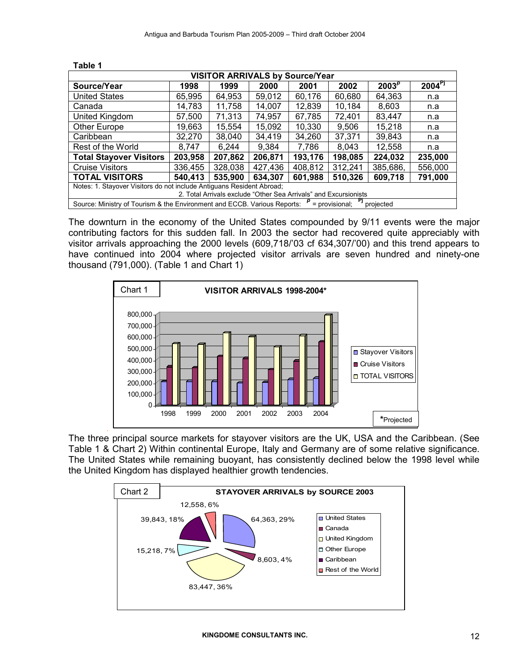| <b>VISITOR ARRIVALS by Source/Year</b>                                                                   |         |         |         |         |                   |                                                                  |
|----------------------------------------------------------------------------------------------------------|---------|---------|---------|---------|-------------------|------------------------------------------------------------------|
| 1998                                                                                                     | 1999    | 2000    | 2001    | 2002    | 2003 <sup>p</sup> | $2004^{Pj}$                                                      |
| 65.995                                                                                                   | 64.953  | 59,012  | 60,176  | 60,680  | 64,363            | n.a                                                              |
| 14.783                                                                                                   | 11,758  | 14,007  | 12,839  | 10,184  | 8.603             | n.a                                                              |
| 57.500                                                                                                   | 71,313  | 74,957  | 67,785  | 72,401  | 83,447            | n.a                                                              |
| 19.663                                                                                                   | 15.554  | 15,092  | 10,330  | 9.506   | 15,218            | n.a                                                              |
| 32.270                                                                                                   | 38,040  | 34,419  | 34.260  | 37,371  | 39.843            | n.a                                                              |
| 8.747                                                                                                    | 6,244   | 9,384   | 7,786   | 8,043   | 12,558            | n.a                                                              |
| 203,958                                                                                                  | 207,862 | 206,871 | 193,176 | 198,085 | 224.032           | 235,000                                                          |
| 336.455                                                                                                  | 328,038 | 427,436 | 408,812 | 312,241 | 385,686,          | 556,000                                                          |
| 540,413                                                                                                  | 535,900 | 634,307 | 601,988 | 510,326 | 609,718           | 791,000                                                          |
| Notes: 1. Stayover Visitors do not include Antiquans Resident Abroad;                                    |         |         |         |         |                   |                                                                  |
|                                                                                                          |         |         |         |         |                   |                                                                  |
| Source: Ministry of Tourism & the Environment and ECCB. Various Reports: $P =$ provisional;<br>projected |         |         |         |         |                   |                                                                  |
|                                                                                                          |         |         |         |         |                   | 2. Total Arrivals exclude "Other Sea Arrivals" and Excursionists |

Table 1

The downturn in the economy of the United States compounded by 9/11 events were the major contributing factors for this sudden fall. In 2003 the sector had recovered quite appreciably with visitor arrivals approaching the 2000 levels (609,718/'03 cf 634,307/'00) and this trend appears to have continued into 2004 where projected visitor arrivals are seven hundred and ninety-one thousand (791,000). (Table 1 and Chart 1)



The three principal source markets for stayover visitors are the UK, USA and the Caribbean. (See Table 1 & Chart 2) Within continental Europe, Italy and Germany are of some relative significance. The United States while remaining buoyant, has consistently declined below the 1998 level while the United Kingdom has displayed healthier growth tendencies.

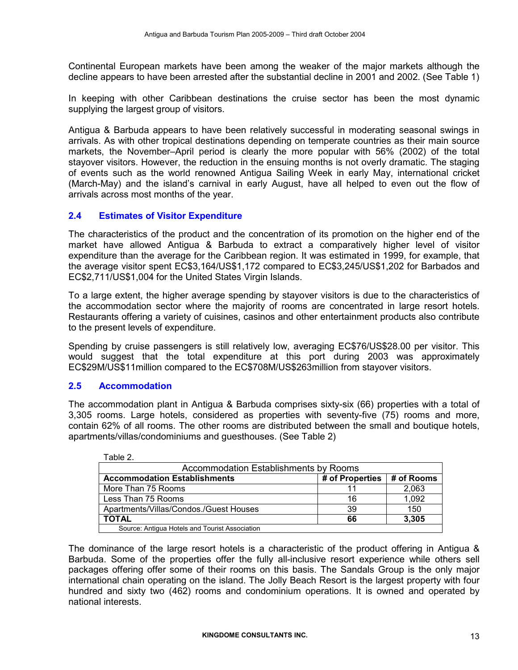Continental European markets have been among the weaker of the major markets although the decline appears to have been arrested after the substantial decline in 2001 and 2002. (See Table 1)

In keeping with other Caribbean destinations the cruise sector has been the most dynamic supplying the largest group of visitors.

Antigua & Barbuda appears to have been relatively successful in moderating seasonal swings in arrivals. As with other tropical destinations depending on temperate countries as their main source markets, the November–April period is clearly the more popular with 56% (2002) of the total stayover visitors. However, the reduction in the ensuing months is not overly dramatic. The staging of events such as the world renowned Antigua Sailing Week in early May, international cricket (March-May) and the island's carnival in early August, have all helped to even out the flow of arrivals across most months of the year.

## 2.4 Estimates of Visitor Expenditure

The characteristics of the product and the concentration of its promotion on the higher end of the market have allowed Antigua & Barbuda to extract a comparatively higher level of visitor expenditure than the average for the Caribbean region. It was estimated in 1999, for example, that the average visitor spent EC\$3,164/US\$1,172 compared to EC\$3,245/US\$1,202 for Barbados and EC\$2,711/US\$1,004 for the United States Virgin Islands.

To a large extent, the higher average spending by stayover visitors is due to the characteristics of the accommodation sector where the majority of rooms are concentrated in large resort hotels. Restaurants offering a variety of cuisines, casinos and other entertainment products also contribute to the present levels of expenditure.

Spending by cruise passengers is still relatively low, averaging EC\$76/US\$28.00 per visitor. This would suggest that the total expenditure at this port during 2003 was approximately EC\$29M/US\$11million compared to the EC\$708M/US\$263million from stayover visitors.

## 2.5 Accommodation

The accommodation plant in Antigua & Barbuda comprises sixty-six (66) properties with a total of 3,305 rooms. Large hotels, considered as properties with seventy-five (75) rooms and more, contain 62% of all rooms. The other rooms are distributed between the small and boutique hotels, apartments/villas/condominiums and guesthouses. (See Table 2)

| Table 2.                                       |                                              |            |  |  |  |
|------------------------------------------------|----------------------------------------------|------------|--|--|--|
|                                                | <b>Accommodation Establishments by Rooms</b> |            |  |  |  |
| <b>Accommodation Establishments</b>            | # of Properties                              | # of Rooms |  |  |  |
| More Than 75 Rooms                             |                                              | 2.063      |  |  |  |
| Less Than 75 Rooms                             | 16                                           | 1,092      |  |  |  |
| Apartments/Villas/Condos./Guest Houses         | 39                                           | 150        |  |  |  |
| <b>TOTAL</b>                                   | 66                                           | 3.305      |  |  |  |
| Source: Antiqua Hotels and Tourist Association |                                              |            |  |  |  |

The dominance of the large resort hotels is a characteristic of the product offering in Antigua & Barbuda. Some of the properties offer the fully all-inclusive resort experience while others sell packages offering offer some of their rooms on this basis. The Sandals Group is the only major international chain operating on the island. The Jolly Beach Resort is the largest property with four hundred and sixty two (462) rooms and condominium operations. It is owned and operated by national interests.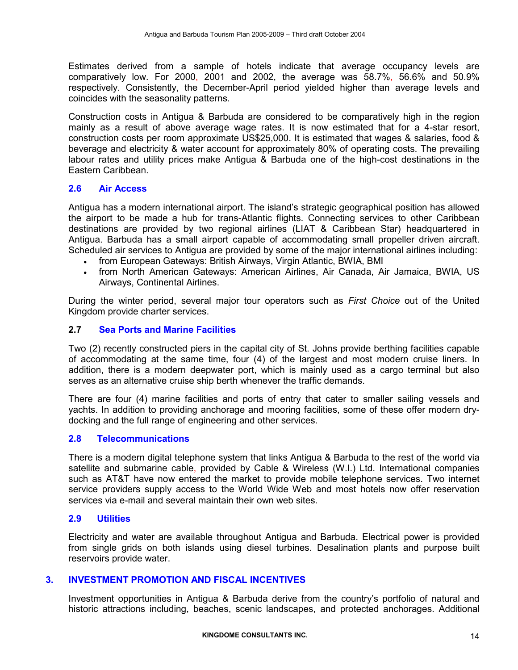Estimates derived from a sample of hotels indicate that average occupancy levels are comparatively low. For 2000, 2001 and 2002, the average was 58.7%, 56.6% and 50.9% respectively. Consistently, the December-April period yielded higher than average levels and coincides with the seasonality patterns.

Construction costs in Antigua & Barbuda are considered to be comparatively high in the region mainly as a result of above average wage rates. It is now estimated that for a 4-star resort, construction costs per room approximate US\$25,000. It is estimated that wages & salaries, food & beverage and electricity & water account for approximately 80% of operating costs. The prevailing labour rates and utility prices make Antigua & Barbuda one of the high-cost destinations in the Eastern Caribbean.

#### 2.6 Air Access

Antigua has a modern international airport. The island's strategic geographical position has allowed the airport to be made a hub for trans-Atlantic flights. Connecting services to other Caribbean destinations are provided by two regional airlines (LIAT & Caribbean Star) headquartered in Antigua. Barbuda has a small airport capable of accommodating small propeller driven aircraft. Scheduled air services to Antigua are provided by some of the major international airlines including:

- from European Gateways: British Airways, Virgin Atlantic, BWIA, BMI
- from North American Gateways: American Airlines, Air Canada, Air Jamaica, BWIA, US Airways, Continental Airlines.

During the winter period, several major tour operators such as *First Choice* out of the United Kingdom provide charter services.

## 2.7 Sea Ports and Marine Facilities

Two (2) recently constructed piers in the capital city of St. Johns provide berthing facilities capable of accommodating at the same time, four (4) of the largest and most modern cruise liners. In addition, there is a modern deepwater port, which is mainly used as a cargo terminal but also serves as an alternative cruise ship berth whenever the traffic demands.

There are four (4) marine facilities and ports of entry that cater to smaller sailing vessels and yachts. In addition to providing anchorage and mooring facilities, some of these offer modern drydocking and the full range of engineering and other services.

#### 2.8 Telecommunications

There is a modern digital telephone system that links Antigua & Barbuda to the rest of the world via satellite and submarine cable, provided by Cable & Wireless (W.I.) Ltd. International companies such as AT&T have now entered the market to provide mobile telephone services. Two internet service providers supply access to the World Wide Web and most hotels now offer reservation services via e-mail and several maintain their own web sites.

#### 2.9 Utilities

Electricity and water are available throughout Antigua and Barbuda. Electrical power is provided from single grids on both islands using diesel turbines. Desalination plants and purpose built reservoirs provide water.

#### 3. INVESTMENT PROMOTION AND FISCAL INCENTIVES

Investment opportunities in Antigua & Barbuda derive from the country's portfolio of natural and historic attractions including, beaches, scenic landscapes, and protected anchorages. Additional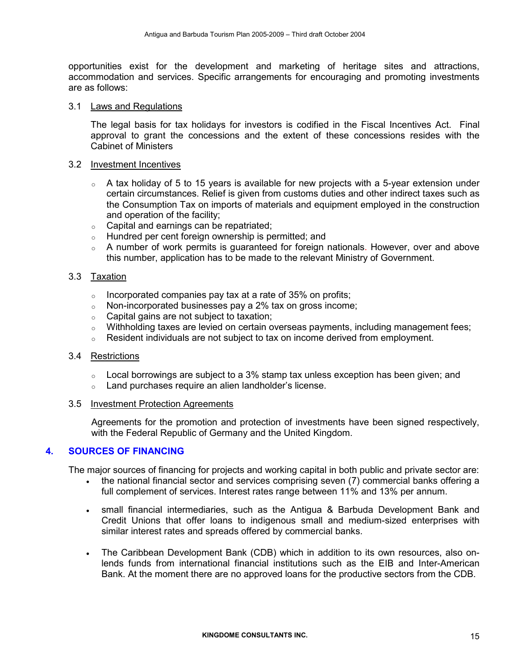opportunities exist for the development and marketing of heritage sites and attractions, accommodation and services. Specific arrangements for encouraging and promoting investments are as follows:

#### 3.1 Laws and Regulations

The legal basis for tax holidays for investors is codified in the Fiscal Incentives Act. Final approval to grant the concessions and the extent of these concessions resides with the Cabinet of Ministers

#### 3.2 Investment Incentives

- $\circ$  A tax holiday of 5 to 15 years is available for new projects with a 5-year extension under certain circumstances. Relief is given from customs duties and other indirect taxes such as the Consumption Tax on imports of materials and equipment employed in the construction and operation of the facility;
- $\circ$  Capital and earnings can be repatriated;
- o Hundred per cent foreign ownership is permitted; and
- o A number of work permits is guaranteed for foreign nationals. However, over and above this number, application has to be made to the relevant Ministry of Government.

#### 3.3 Taxation

- $\circ$  Incorporated companies pay tax at a rate of 35% on profits;
- o Non-incorporated businesses pay a 2% tax on gross income;
- o Capital gains are not subject to taxation;
- $\circ$  Withholding taxes are levied on certain overseas payments, including management fees;
- $\circ$  Resident individuals are not subject to tax on income derived from employment.

#### 3.4 Restrictions

- $\circ$  Local borrowings are subject to a 3% stamp tax unless exception has been given; and
- o Land purchases require an alien landholder's license.

#### 3.5 Investment Protection Agreements

Agreements for the promotion and protection of investments have been signed respectively, with the Federal Republic of Germany and the United Kingdom.

#### 4. SOURCES OF FINANCING

The major sources of financing for projects and working capital in both public and private sector are:

- the national financial sector and services comprising seven (7) commercial banks offering a full complement of services. Interest rates range between 11% and 13% per annum.
- small financial intermediaries, such as the Antigua & Barbuda Development Bank and Credit Unions that offer loans to indigenous small and medium-sized enterprises with similar interest rates and spreads offered by commercial banks.
- The Caribbean Development Bank (CDB) which in addition to its own resources, also onlends funds from international financial institutions such as the EIB and Inter-American Bank. At the moment there are no approved loans for the productive sectors from the CDB.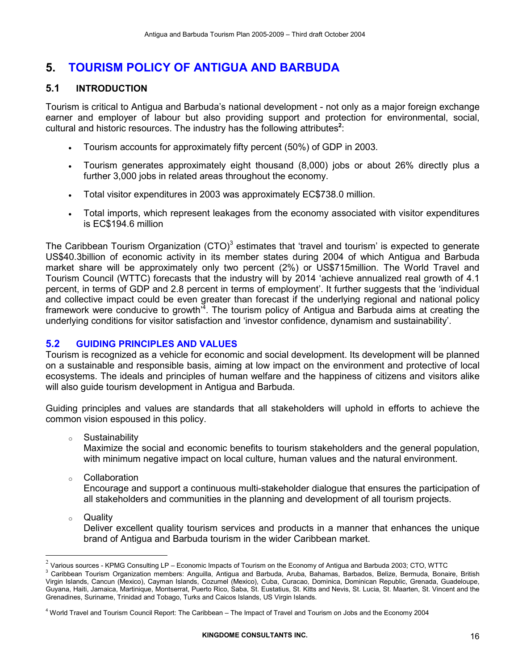## 5. TOURISM POLICY OF ANTIGUA AND BARBUDA

## 5.1 INTRODUCTION

Tourism is critical to Antigua and Barbuda's national development - not only as a major foreign exchange earner and employer of labour but also providing support and protection for environmental, social, cultural and historic resources. The industry has the following attributes<sup>2</sup>:

- Tourism accounts for approximately fifty percent (50%) of GDP in 2003.
- Tourism generates approximately eight thousand (8,000) jobs or about 26% directly plus a further 3,000 jobs in related areas throughout the economy.
- Total visitor expenditures in 2003 was approximately EC\$738.0 million.
- Total imports, which represent leakages from the economy associated with visitor expenditures is EC\$194.6 million

The Caribbean Tourism Organization (CTO)<sup>3</sup> estimates that 'travel and tourism' is expected to generate US\$40.3billion of economic activity in its member states during 2004 of which Antigua and Barbuda market share will be approximately only two percent (2%) or US\$715million. The World Travel and Tourism Council (WTTC) forecasts that the industry will by 2014 'achieve annualized real growth of 4.1 percent, in terms of GDP and 2.8 percent in terms of employment'. It further suggests that the 'individual and collective impact could be even greater than forecast if the underlying regional and national policy framework were conducive to growth<sup>74</sup>. The tourism policy of Antigua and Barbuda aims at creating the underlying conditions for visitor satisfaction and 'investor confidence, dynamism and sustainability'.

## 5.2 GUIDING PRINCIPLES AND VALUES

Tourism is recognized as a vehicle for economic and social development. Its development will be planned on a sustainable and responsible basis, aiming at low impact on the environment and protective of local ecosystems. The ideals and principles of human welfare and the happiness of citizens and visitors alike will also guide tourism development in Antigua and Barbuda.

Guiding principles and values are standards that all stakeholders will uphold in efforts to achieve the common vision espoused in this policy.

o Sustainability

Maximize the social and economic benefits to tourism stakeholders and the general population, with minimum negative impact on local culture, human values and the natural environment.

- o Collaboration Encourage and support a continuous multi-stakeholder dialogue that ensures the participation of all stakeholders and communities in the planning and development of all tourism projects.
- o Quality

 $\overline{a}$ 

Deliver excellent quality tourism services and products in a manner that enhances the unique brand of Antigua and Barbuda tourism in the wider Caribbean market.

 $^2$  Various sources - KPMG Consulting LP – Economic Impacts of Tourism on the Economy of Antigua and Barbuda 2003; CTO, WTTC

<sup>&</sup>lt;sup>3</sup> Caribbean Tourism Organization members: Anguilla, Antigua and Barbuda, Aruba, Bahamas, Barbados, Belize, Bermuda, Bonaire, British Virgin Islands, Cancun (Mexico), Cayman Islands, Cozumel (Mexico), Cuba, Curacao, Dominica, Dominican Republic, Grenada, Guadeloupe, Guyana, Haiti, Jamaica, Martinique, Montserrat, Puerto Rico, Saba, St. Eustatius, St. Kitts and Nevis, St. Lucia, St. Maarten, St. Vincent and the Grenadines, Suriname, Trinidad and Tobago, Turks and Caicos Islands, US Virgin Islands.

<sup>4</sup> World Travel and Tourism Council Report: The Caribbean – The Impact of Travel and Tourism on Jobs and the Economy 2004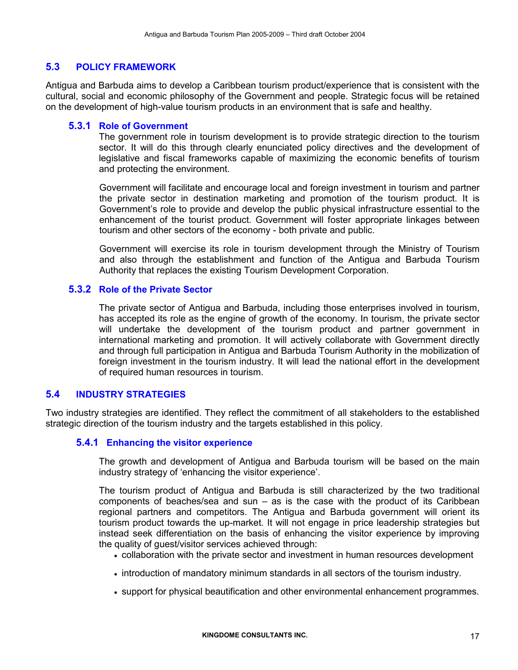## 5.3 POLICY FRAMEWORK

Antigua and Barbuda aims to develop a Caribbean tourism product/experience that is consistent with the cultural, social and economic philosophy of the Government and people. Strategic focus will be retained on the development of high-value tourism products in an environment that is safe and healthy.

### 5.3.1 Role of Government

The government role in tourism development is to provide strategic direction to the tourism sector. It will do this through clearly enunciated policy directives and the development of legislative and fiscal frameworks capable of maximizing the economic benefits of tourism and protecting the environment.

Government will facilitate and encourage local and foreign investment in tourism and partner the private sector in destination marketing and promotion of the tourism product. It is Government's role to provide and develop the public physical infrastructure essential to the enhancement of the tourist product. Government will foster appropriate linkages between tourism and other sectors of the economy - both private and public.

Government will exercise its role in tourism development through the Ministry of Tourism and also through the establishment and function of the Antigua and Barbuda Tourism Authority that replaces the existing Tourism Development Corporation.

#### 5.3.2 Role of the Private Sector

The private sector of Antigua and Barbuda, including those enterprises involved in tourism, has accepted its role as the engine of growth of the economy. In tourism, the private sector will undertake the development of the tourism product and partner government in international marketing and promotion. It will actively collaborate with Government directly and through full participation in Antigua and Barbuda Tourism Authority in the mobilization of foreign investment in the tourism industry. It will lead the national effort in the development of required human resources in tourism.

## 5.4 INDUSTRY STRATEGIES

Two industry strategies are identified. They reflect the commitment of all stakeholders to the established strategic direction of the tourism industry and the targets established in this policy.

## 5.4.1 Enhancing the visitor experience

The growth and development of Antigua and Barbuda tourism will be based on the main industry strategy of 'enhancing the visitor experience'.

The tourism product of Antigua and Barbuda is still characterized by the two traditional components of beaches/sea and sun – as is the case with the product of its Caribbean regional partners and competitors. The Antigua and Barbuda government will orient its tourism product towards the up-market. It will not engage in price leadership strategies but instead seek differentiation on the basis of enhancing the visitor experience by improving the quality of guest/visitor services achieved through:

- collaboration with the private sector and investment in human resources development
- introduction of mandatory minimum standards in all sectors of the tourism industry.
- support for physical beautification and other environmental enhancement programmes.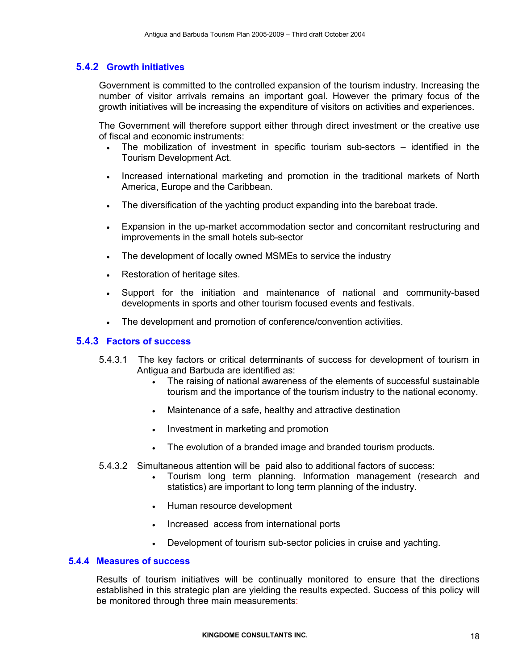## 5.4.2 Growth initiatives

Government is committed to the controlled expansion of the tourism industry. Increasing the number of visitor arrivals remains an important goal. However the primary focus of the growth initiatives will be increasing the expenditure of visitors on activities and experiences.

The Government will therefore support either through direct investment or the creative use of fiscal and economic instruments:

- The mobilization of investment in specific tourism sub-sectors identified in the Tourism Development Act.
- Increased international marketing and promotion in the traditional markets of North America, Europe and the Caribbean.
- The diversification of the yachting product expanding into the bareboat trade.
- Expansion in the up-market accommodation sector and concomitant restructuring and improvements in the small hotels sub-sector
- The development of locally owned MSMEs to service the industry
- Restoration of heritage sites.
- Support for the initiation and maintenance of national and community-based developments in sports and other tourism focused events and festivals.
- The development and promotion of conference/convention activities.

#### 5.4.3 Factors of success

- 5.4.3.1 The key factors or critical determinants of success for development of tourism in Antigua and Barbuda are identified as:
	- The raising of national awareness of the elements of successful sustainable tourism and the importance of the tourism industry to the national economy.
	- Maintenance of a safe, healthy and attractive destination
	- Investment in marketing and promotion
	- The evolution of a branded image and branded tourism products.
- 5.4.3.2 Simultaneous attention will be paid also to additional factors of success:
	- Tourism long term planning. Information management (research and statistics) are important to long term planning of the industry.
	- Human resource development
	- Increased access from international ports
	- Development of tourism sub-sector policies in cruise and yachting.

#### 5.4.4 Measures of success

Results of tourism initiatives will be continually monitored to ensure that the directions established in this strategic plan are yielding the results expected. Success of this policy will be monitored through three main measurements: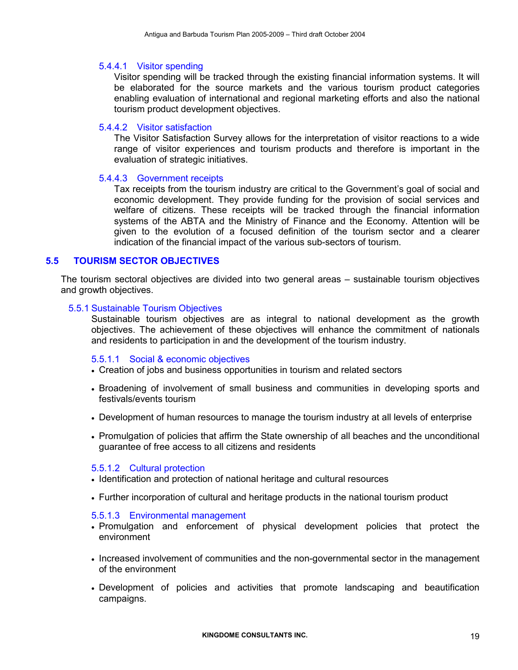#### 5.4.4.1 Visitor spending

Visitor spending will be tracked through the existing financial information systems. It will be elaborated for the source markets and the various tourism product categories enabling evaluation of international and regional marketing efforts and also the national tourism product development objectives.

#### 5.4.4.2 Visitor satisfaction

The Visitor Satisfaction Survey allows for the interpretation of visitor reactions to a wide range of visitor experiences and tourism products and therefore is important in the evaluation of strategic initiatives.

#### 5.4.4.3 Government receipts

Tax receipts from the tourism industry are critical to the Government's goal of social and economic development. They provide funding for the provision of social services and welfare of citizens. These receipts will be tracked through the financial information systems of the ABTA and the Ministry of Finance and the Economy. Attention will be given to the evolution of a focused definition of the tourism sector and a clearer indication of the financial impact of the various sub-sectors of tourism.

## 5.5 TOURISM SECTOR OBJECTIVES

The tourism sectoral objectives are divided into two general areas – sustainable tourism objectives and growth objectives.

#### 5.5.1 Sustainable Tourism Objectives

Sustainable tourism objectives are as integral to national development as the growth objectives. The achievement of these objectives will enhance the commitment of nationals and residents to participation in and the development of the tourism industry.

#### 5.5.1.1 Social & economic objectives

- Creation of jobs and business opportunities in tourism and related sectors
- Broadening of involvement of small business and communities in developing sports and festivals/events tourism
- Development of human resources to manage the tourism industry at all levels of enterprise
- Promulgation of policies that affirm the State ownership of all beaches and the unconditional guarantee of free access to all citizens and residents

#### 5.5.1.2 Cultural protection

- Identification and protection of national heritage and cultural resources
- Further incorporation of cultural and heritage products in the national tourism product

#### 5.5.1.3 Environmental management

- Promulgation and enforcement of physical development policies that protect the environment
- Increased involvement of communities and the non-governmental sector in the management of the environment
- Development of policies and activities that promote landscaping and beautification campaigns.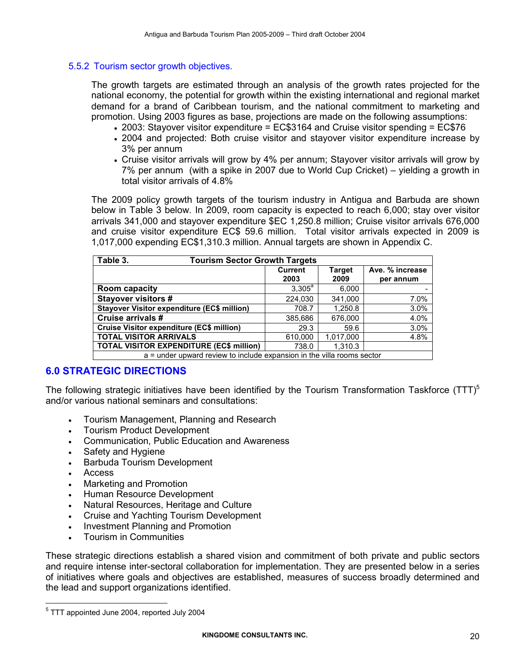### 5.5.2 Tourism sector growth objectives.

The growth targets are estimated through an analysis of the growth rates projected for the national economy, the potential for growth within the existing international and regional market demand for a brand of Caribbean tourism, and the national commitment to marketing and promotion. Using 2003 figures as base, projections are made on the following assumptions:

- 2003: Stayover visitor expenditure = EC\$3164 and Cruise visitor spending = EC\$76
- 2004 and projected: Both cruise visitor and stayover visitor expenditure increase by 3% per annum
- Cruise visitor arrivals will grow by 4% per annum; Stayover visitor arrivals will grow by 7% per annum (with a spike in 2007 due to World Cup Cricket) – yielding a growth in total visitor arrivals of 4.8%

The 2009 policy growth targets of the tourism industry in Antigua and Barbuda are shown below in Table 3 below. In 2009, room capacity is expected to reach 6,000; stay over visitor arrivals 341,000 and stayover expenditure \$EC 1,250.8 million; Cruise visitor arrivals 676,000 and cruise visitor expenditure EC\$ 59.6 million. Total visitor arrivals expected in 2009 is 1,017,000 expending EC\$1,310.3 million. Annual targets are shown in Appendix C.

| Table 3.<br><b>Tourism Sector Growth Targets</b>                       |                        |                       |                              |  |
|------------------------------------------------------------------------|------------------------|-----------------------|------------------------------|--|
|                                                                        | <b>Current</b><br>2003 | <b>Target</b><br>2009 | Ave. % increase<br>per annum |  |
| <b>Room capacity</b>                                                   | $3,305^a$              | 6,000                 |                              |  |
| <b>Stayover visitors #</b>                                             | 224,030                | 341,000               | 7.0%                         |  |
| <b>Stayover Visitor expenditure (EC\$ million)</b>                     | 708.7                  | 1,250.8               | 3.0%                         |  |
| Cruise arrivals #                                                      | 385,686                | 676,000               | 4.0%                         |  |
| <b>Cruise Visitor expenditure (EC\$ million)</b>                       | 29.3                   | 59.6                  | 3.0%                         |  |
| <b>TOTAL VISITOR ARRIVALS</b>                                          | 610,000                | 1,017,000             | 4.8%                         |  |
| <b>TOTAL VISITOR EXPENDITURE (EC\$ million)</b>                        | 738.0                  | 1,310.3               |                              |  |
| a = under upward review to include expansion in the villa rooms sector |                        |                       |                              |  |

## 6.0 STRATEGIC DIRECTIONS

The following strategic initiatives have been identified by the Tourism Transformation Taskforce (TTT)<sup>5</sup> and/or various national seminars and consultations:

- Tourism Management, Planning and Research
- Tourism Product Development
- Communication, Public Education and Awareness
- Safety and Hygiene
- Barbuda Tourism Development
- Access

 $\overline{a}$ 

- Marketing and Promotion
- Human Resource Development
- Natural Resources, Heritage and Culture
- Cruise and Yachting Tourism Development
- Investment Planning and Promotion
- Tourism in Communities

These strategic directions establish a shared vision and commitment of both private and public sectors and require intense inter-sectoral collaboration for implementation. They are presented below in a series of initiatives where goals and objectives are established, measures of success broadly determined and the lead and support organizations identified.

<sup>&</sup>lt;sup>5</sup> TTT appointed June 2004, reported July 2004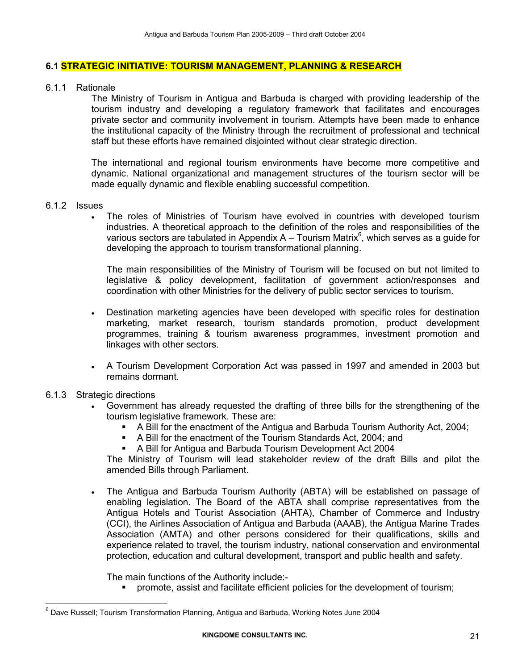### 6.1 STRATEGIC INITIATIVE: TOURISM MANAGEMENT, PLANNING & RESEARCH

#### 6.1.1 Rationale

The Ministry of Tourism in Antigua and Barbuda is charged with providing leadership of the tourism industry and developing a regulatory framework that facilitates and encourages private sector and community involvement in tourism. Attempts have been made to enhance the institutional capacity of the Ministry through the recruitment of professional and technical staff but these efforts have remained disjointed without clear strategic direction.

The international and regional tourism environments have become more competitive and dynamic. National organizational and management structures of the tourism sector will be made equally dynamic and flexible enabling successful competition.

#### 6.1.2 Issues

• The roles of Ministries of Tourism have evolved in countries with developed tourism industries. A theoretical approach to the definition of the roles and responsibilities of the various sectors are tabulated in Appendix A – Tourism Matrix $6$ , which serves as a guide for developing the approach to tourism transformational planning.

The main responsibilities of the Ministry of Tourism will be focused on but not limited to legislative & policy development, facilitation of government action/responses and coordination with other Ministries for the delivery of public sector services to tourism.

- Destination marketing agencies have been developed with specific roles for destination marketing, market research, tourism standards promotion, product development programmes, training & tourism awareness programmes, investment promotion and linkages with other sectors.
- A Tourism Development Corporation Act was passed in 1997 and amended in 2003 but remains dormant.
- 6.1.3 Strategic directions

 $\overline{a}$ 

- Government has already requested the drafting of three bills for the strengthening of the tourism legislative framework. These are:
	- -A Bill for the enactment of the Antigua and Barbuda Tourism Authority Act, 2004;
	- A Bill for the enactment of the Tourism Standards Act, 2004; and
	- A Bill for Antigua and Barbuda Tourism Development Act 2004

The Ministry of Tourism will lead stakeholder review of the draft Bills and pilot the amended Bills through Parliament.

• The Antigua and Barbuda Tourism Authority (ABTA) will be established on passage of enabling legislation. The Board of the ABTA shall comprise representatives from the Antigua Hotels and Tourist Association (AHTA), Chamber of Commerce and Industry (CCI), the Airlines Association of Antigua and Barbuda (AAAB), the Antigua Marine Trades Association (AMTA) and other persons considered for their qualifications, skills and experience related to travel, the tourism industry, national conservation and environmental protection, education and cultural development, transport and public health and safety.

The main functions of the Authority include:-

promote, assist and facilitate efficient policies for the development of tourism;

<sup>&</sup>lt;sup>6</sup> Dave Russell; Tourism Transformation Planning, Antigua and Barbuda, Working Notes June 2004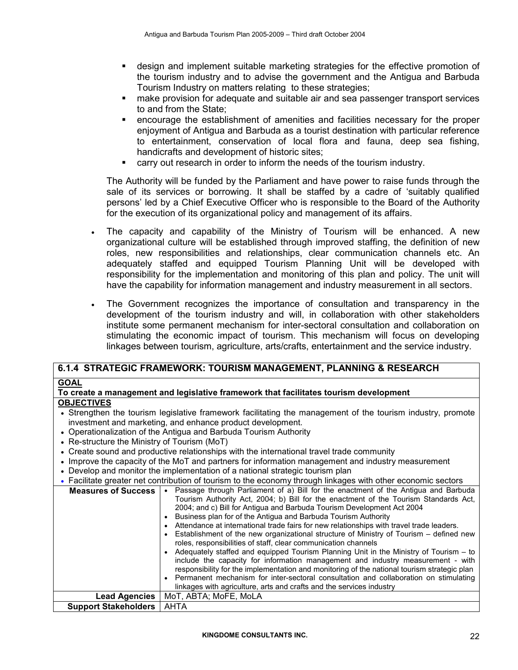- design and implement suitable marketing strategies for the effective promotion of the tourism industry and to advise the government and the Antigua and Barbuda Tourism Industry on matters relating to these strategies;
- make provision for adequate and suitable air and sea passenger transport services to and from the State;
- encourage the establishment of amenities and facilities necessary for the proper enjoyment of Antigua and Barbuda as a tourist destination with particular reference to entertainment, conservation of local flora and fauna, deep sea fishing, handicrafts and development of historic sites;
- carry out research in order to inform the needs of the tourism industry.

 The Authority will be funded by the Parliament and have power to raise funds through the sale of its services or borrowing. It shall be staffed by a cadre of 'suitably qualified persons' led by a Chief Executive Officer who is responsible to the Board of the Authority for the execution of its organizational policy and management of its affairs.

- The capacity and capability of the Ministry of Tourism will be enhanced. A new organizational culture will be established through improved staffing, the definition of new roles, new responsibilities and relationships, clear communication channels etc. An adequately staffed and equipped Tourism Planning Unit will be developed with responsibility for the implementation and monitoring of this plan and policy. The unit will have the capability for information management and industry measurement in all sectors.
- The Government recognizes the importance of consultation and transparency in the development of the tourism industry and will, in collaboration with other stakeholders institute some permanent mechanism for inter-sectoral consultation and collaboration on stimulating the economic impact of tourism. This mechanism will focus on developing linkages between tourism, agriculture, arts/crafts, entertainment and the service industry.

## 6.1.4 STRATEGIC FRAMEWORK: TOURISM MANAGEMENT, PLANNING & RESEARCH

#### GOAL

#### To create a management and legislative framework that facilitates tourism development **OBJECTIVES**

- Strengthen the tourism legislative framework facilitating the management of the tourism industry, promote investment and marketing, and enhance product development.
- Operationalization of the Antigua and Barbuda Tourism Authority
- Re-structure the Ministry of Tourism (MoT)
- Create sound and productive relationships with the international travel trade community
- Improve the capacity of the MoT and partners for information management and industry measurement
- Develop and monitor the implementation of a national strategic tourism plan
- Facilitate greater net contribution of tourism to the economy through linkages with other economic sectors

| <b>Measures of Success</b>  | Passage through Parliament of a) Bill for the enactment of the Antigua and Barbuda<br>Tourism Authority Act, 2004; b) Bill for the enactment of the Tourism Standards Act,     |
|-----------------------------|--------------------------------------------------------------------------------------------------------------------------------------------------------------------------------|
|                             | 2004; and c) Bill for Antiqua and Barbuda Tourism Development Act 2004                                                                                                         |
|                             | Business plan for of the Antiqua and Barbuda Tourism Authority                                                                                                                 |
|                             | Attendance at international trade fairs for new relationships with travel trade leaders.                                                                                       |
|                             | Establishment of the new organizational structure of Ministry of Tourism – defined new                                                                                         |
|                             | roles, responsibilities of staff, clear communication channels                                                                                                                 |
|                             | Adequately staffed and equipped Tourism Planning Unit in the Ministry of Tourism – to                                                                                          |
|                             | include the capacity for information management and industry measurement - with<br>responsibility for the implementation and monitoring of the national tourism strategic plan |
|                             | Permanent mechanism for inter-sectoral consultation and collaboration on stimulating<br>$\bullet$                                                                              |
|                             | linkages with agriculture, arts and crafts and the services industry                                                                                                           |
| <b>Lead Agencies</b>        | MoT. ABTA: MoFE. MoLA                                                                                                                                                          |
| <b>Support Stakeholders</b> | AHTA                                                                                                                                                                           |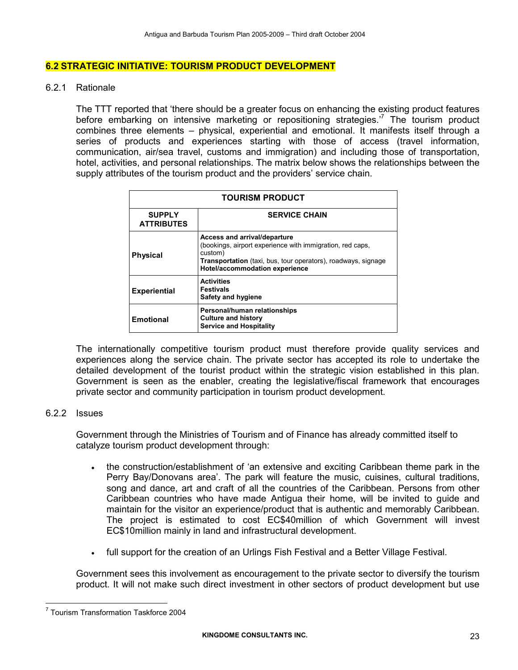#### 6.2 STRATEGIC INITIATIVE: TOURISM PRODUCT DEVELOPMENT

6.2.1 Rationale

The TTT reported that 'there should be a greater focus on enhancing the existing product features before embarking on intensive marketing or repositioning strategies.<sup>7</sup> The tourism product combines three elements – physical, experiential and emotional. It manifests itself through a series of products and experiences starting with those of access (travel information, communication, air/sea travel, customs and immigration) and including those of transportation, hotel, activities, and personal relationships. The matrix below shows the relationships between the supply attributes of the tourism product and the providers' service chain.

| <b>TOURISM PRODUCT</b>             |                                                                                                                                                                                                                |  |  |  |  |
|------------------------------------|----------------------------------------------------------------------------------------------------------------------------------------------------------------------------------------------------------------|--|--|--|--|
| <b>SUPPLY</b><br><b>ATTRIBUTES</b> | <b>SERVICE CHAIN</b>                                                                                                                                                                                           |  |  |  |  |
| <b>Physical</b>                    | Access and arrival/departure<br>(bookings, airport experience with immigration, red caps,<br>custom)<br><b>Transportation</b> (taxi, bus, tour operators), roadways, signage<br>Hotel/accommodation experience |  |  |  |  |
| <b>Experiential</b>                | <b>Activities</b><br><b>Festivals</b><br>Safety and hygiene                                                                                                                                                    |  |  |  |  |
| <b>Emotional</b>                   | Personal/human relationships<br><b>Culture and history</b><br><b>Service and Hospitality</b>                                                                                                                   |  |  |  |  |

The internationally competitive tourism product must therefore provide quality services and experiences along the service chain. The private sector has accepted its role to undertake the detailed development of the tourist product within the strategic vision established in this plan. Government is seen as the enabler, creating the legislative/fiscal framework that encourages private sector and community participation in tourism product development.

#### 6.2.2 Issues

 $\overline{a}$ 

Government through the Ministries of Tourism and of Finance has already committed itself to catalyze tourism product development through:

- the construction/establishment of 'an extensive and exciting Caribbean theme park in the Perry Bay/Donovans area'. The park will feature the music, cuisines, cultural traditions, song and dance, art and craft of all the countries of the Caribbean. Persons from other Caribbean countries who have made Antigua their home, will be invited to guide and maintain for the visitor an experience/product that is authentic and memorably Caribbean. The project is estimated to cost EC\$40million of which Government will invest EC\$10million mainly in land and infrastructural development.
- full support for the creation of an Urlings Fish Festival and a Better Village Festival.

Government sees this involvement as encouragement to the private sector to diversify the tourism product. It will not make such direct investment in other sectors of product development but use

<sup>7</sup> Tourism Transformation Taskforce 2004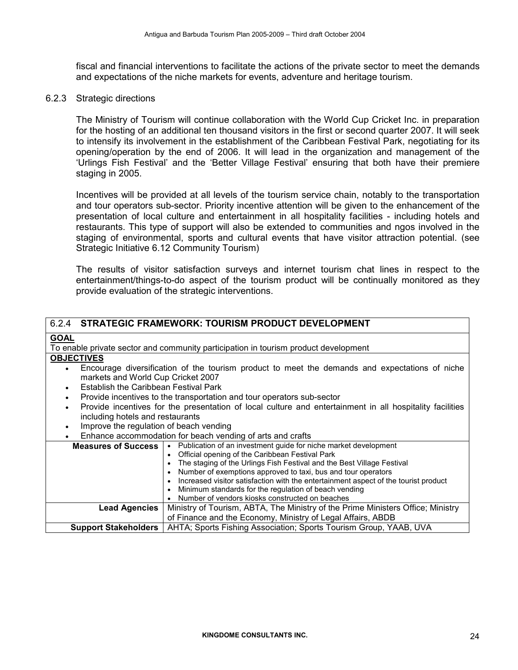fiscal and financial interventions to facilitate the actions of the private sector to meet the demands and expectations of the niche markets for events, adventure and heritage tourism.

#### 6.2.3 Strategic directions

The Ministry of Tourism will continue collaboration with the World Cup Cricket Inc. in preparation for the hosting of an additional ten thousand visitors in the first or second quarter 2007. It will seek to intensify its involvement in the establishment of the Caribbean Festival Park, negotiating for its opening/operation by the end of 2006. It will lead in the organization and management of the 'Urlings Fish Festival' and the 'Better Village Festival' ensuring that both have their premiere staging in 2005.

Incentives will be provided at all levels of the tourism service chain, notably to the transportation and tour operators sub-sector. Priority incentive attention will be given to the enhancement of the presentation of local culture and entertainment in all hospitality facilities - including hotels and restaurants. This type of support will also be extended to communities and ngos involved in the staging of environmental, sports and cultural events that have visitor attraction potential. (see Strategic Initiative 6.12 Community Tourism)

The results of visitor satisfaction surveys and internet tourism chat lines in respect to the entertainment/things-to-do aspect of the tourism product will be continually monitored as they provide evaluation of the strategic interventions.

|                                                                                                | 6.2.4 STRATEGIC FRAMEWORK: TOURISM PRODUCT DEVELOPMENT                                                   |  |  |
|------------------------------------------------------------------------------------------------|----------------------------------------------------------------------------------------------------------|--|--|
| <b>GOAL</b>                                                                                    |                                                                                                          |  |  |
|                                                                                                | To enable private sector and community participation in tourism product development                      |  |  |
| <b>OBJECTIVES</b>                                                                              |                                                                                                          |  |  |
|                                                                                                | Encourage diversification of the tourism product to meet the demands and expectations of niche           |  |  |
| markets and World Cup Cricket 2007                                                             |                                                                                                          |  |  |
| Establish the Caribbean Festival Park                                                          |                                                                                                          |  |  |
|                                                                                                | Provide incentives to the transportation and tour operators sub-sector                                   |  |  |
| $\bullet$                                                                                      | Provide incentives for the presentation of local culture and entertainment in all hospitality facilities |  |  |
| including hotels and restaurants                                                               |                                                                                                          |  |  |
| Improve the regulation of beach vending<br>٠                                                   |                                                                                                          |  |  |
|                                                                                                | Enhance accommodation for beach vending of arts and crafts                                               |  |  |
| <b>Measures of Success</b>   • Publication of an investment guide for niche market development |                                                                                                          |  |  |
|                                                                                                | • Official opening of the Caribbean Festival Park                                                        |  |  |
|                                                                                                | • The staging of the Urlings Fish Festival and the Best Village Festival                                 |  |  |
|                                                                                                | • Number of exemptions approved to taxi, bus and tour operators                                          |  |  |
|                                                                                                | • Increased visitor satisfaction with the entertainment aspect of the tourist product                    |  |  |
| • Minimum standards for the regulation of beach vending                                        |                                                                                                          |  |  |
| Number of vendors kiosks constructed on beaches                                                |                                                                                                          |  |  |
| <b>Lead Agencies</b>                                                                           | Ministry of Tourism, ABTA, The Ministry of the Prime Ministers Office; Ministry                          |  |  |
|                                                                                                | of Finance and the Economy, Ministry of Legal Affairs, ABDB                                              |  |  |
| <b>Support Stakeholders</b>                                                                    | AHTA; Sports Fishing Association; Sports Tourism Group, YAAB, UVA                                        |  |  |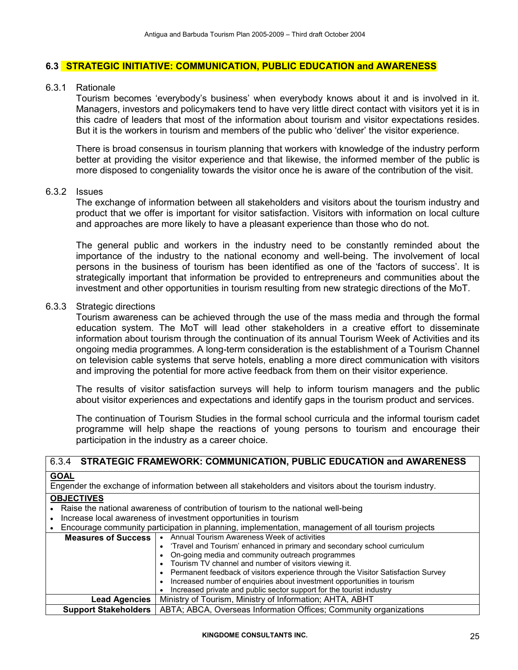#### 6.3 STRATEGIC INITIATIVE: COMMUNICATION, PUBLIC EDUCATION and AWARENESS

#### 6.3.1 Rationale

Tourism becomes 'everybody's business' when everybody knows about it and is involved in it. Managers, investors and policymakers tend to have very little direct contact with visitors yet it is in this cadre of leaders that most of the information about tourism and visitor expectations resides. But it is the workers in tourism and members of the public who 'deliver' the visitor experience.

There is broad consensus in tourism planning that workers with knowledge of the industry perform better at providing the visitor experience and that likewise, the informed member of the public is more disposed to congeniality towards the visitor once he is aware of the contribution of the visit.

### 6.3.2 Issues

The exchange of information between all stakeholders and visitors about the tourism industry and product that we offer is important for visitor satisfaction. Visitors with information on local culture and approaches are more likely to have a pleasant experience than those who do not.

The general public and workers in the industry need to be constantly reminded about the importance of the industry to the national economy and well-being. The involvement of local persons in the business of tourism has been identified as one of the 'factors of success'. It is strategically important that information be provided to entrepreneurs and communities about the investment and other opportunities in tourism resulting from new strategic directions of the MoT.

#### 6.3.3 Strategic directions

Tourism awareness can be achieved through the use of the mass media and through the formal education system. The MoT will lead other stakeholders in a creative effort to disseminate information about tourism through the continuation of its annual Tourism Week of Activities and its ongoing media programmes. A long-term consideration is the establishment of a Tourism Channel on television cable systems that serve hotels, enabling a more direct communication with visitors and improving the potential for more active feedback from them on their visitor experience.

The results of visitor satisfaction surveys will help to inform tourism managers and the public about visitor experiences and expectations and identify gaps in the tourism product and services.

The continuation of Tourism Studies in the formal school curricula and the informal tourism cadet programme will help shape the reactions of young persons to tourism and encourage their participation in the industry as a career choice.

|                             | 6.3.4 STRATEGIC FRAMEWORK: COMMUNICATION, PUBLIC EDUCATION and AWARENESS                               |
|-----------------------------|--------------------------------------------------------------------------------------------------------|
| <b>GOAL</b>                 |                                                                                                        |
|                             | Engender the exchange of information between all stakeholders and visitors about the tourism industry. |
| <b>OBJECTIVES</b>           |                                                                                                        |
|                             | Raise the national awareness of contribution of tourism to the national well-being                     |
|                             | Increase local awareness of investment opportunities in tourism                                        |
|                             | Encourage community participation in planning, implementation, management of all tourism projects      |
|                             | Measures of Success   • Annual Tourism Awareness Week of activities                                    |
|                             | • 'Travel and Tourism' enhanced in primary and secondary school curriculum                             |
|                             | On-going media and community outreach programmes                                                       |
|                             | Tourism TV channel and number of visitors viewing it.                                                  |
|                             | • Permanent feedback of visitors experience through the Visitor Satisfaction Survey                    |
|                             | Increased number of enquiries about investment opportunities in tourism                                |
|                             | Increased private and public sector support for the tourist industry                                   |
| <b>Lead Agencies</b>        | Ministry of Tourism, Ministry of Information; AHTA, ABHT                                               |
| <b>Support Stakeholders</b> | ABTA; ABCA, Overseas Information Offices; Community organizations                                      |

#### KINGDOME CONSULTANTS INC. 25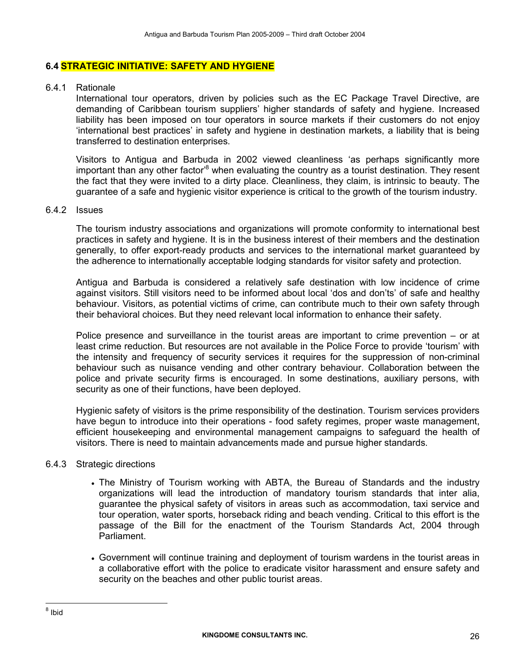#### 6.4 STRATEGIC INITIATIVE: SAFETY AND HYGIENE

#### 6.4.1 Rationale

International tour operators, driven by policies such as the EC Package Travel Directive, are demanding of Caribbean tourism suppliers' higher standards of safety and hygiene. Increased liability has been imposed on tour operators in source markets if their customers do not enjoy 'international best practices' in safety and hygiene in destination markets, a liability that is being transferred to destination enterprises.

Visitors to Antigua and Barbuda in 2002 viewed cleanliness 'as perhaps significantly more important than any other factor<sup>8</sup> when evaluating the country as a tourist destination. They resent the fact that they were invited to a dirty place. Cleanliness, they claim, is intrinsic to beauty. The guarantee of a safe and hygienic visitor experience is critical to the growth of the tourism industry.

#### 6.4.2 Issues

The tourism industry associations and organizations will promote conformity to international best practices in safety and hygiene. It is in the business interest of their members and the destination generally, to offer export-ready products and services to the international market guaranteed by the adherence to internationally acceptable lodging standards for visitor safety and protection.

Antigua and Barbuda is considered a relatively safe destination with low incidence of crime against visitors. Still visitors need to be informed about local 'dos and don'ts' of safe and healthy behaviour. Visitors, as potential victims of crime, can contribute much to their own safety through their behavioral choices. But they need relevant local information to enhance their safety.

Police presence and surveillance in the tourist areas are important to crime prevention – or at least crime reduction. But resources are not available in the Police Force to provide 'tourism' with the intensity and frequency of security services it requires for the suppression of non-criminal behaviour such as nuisance vending and other contrary behaviour. Collaboration between the police and private security firms is encouraged. In some destinations, auxiliary persons, with security as one of their functions, have been deployed.

Hygienic safety of visitors is the prime responsibility of the destination. Tourism services providers have begun to introduce into their operations - food safety regimes, proper waste management, efficient housekeeping and environmental management campaigns to safeguard the health of visitors. There is need to maintain advancements made and pursue higher standards.

#### 6.4.3 Strategic directions

- The Ministry of Tourism working with ABTA, the Bureau of Standards and the industry organizations will lead the introduction of mandatory tourism standards that inter alia, guarantee the physical safety of visitors in areas such as accommodation, taxi service and tour operation, water sports, horseback riding and beach vending. Critical to this effort is the passage of the Bill for the enactment of the Tourism Standards Act, 2004 through Parliament.
- Government will continue training and deployment of tourism wardens in the tourist areas in a collaborative effort with the police to eradicate visitor harassment and ensure safety and security on the beaches and other public tourist areas.

 $\overline{a}$ 

<sup>&</sup>lt;sup>8</sup> Ibid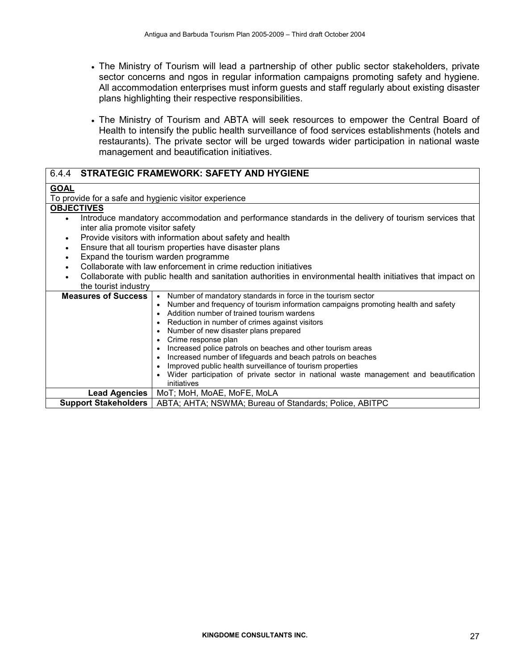- The Ministry of Tourism will lead a partnership of other public sector stakeholders, private sector concerns and ngos in regular information campaigns promoting safety and hygiene. All accommodation enterprises must inform guests and staff regularly about existing disaster plans highlighting their respective responsibilities.
- The Ministry of Tourism and ABTA will seek resources to empower the Central Board of Health to intensify the public health surveillance of food services establishments (hotels and restaurants). The private sector will be urged towards wider participation in national waste management and beautification initiatives.

| 6.4.4 STRATEGIC FRAMEWORK: SAFETY AND HYGIENE                                                                             |  |  |  |  |
|---------------------------------------------------------------------------------------------------------------------------|--|--|--|--|
| <b>GOAL</b>                                                                                                               |  |  |  |  |
| To provide for a safe and hygienic visitor experience                                                                     |  |  |  |  |
| <b>OBJECTIVES</b>                                                                                                         |  |  |  |  |
| Introduce mandatory accommodation and performance standards in the delivery of tourism services that<br>$\bullet$         |  |  |  |  |
| inter alia promote visitor safety                                                                                         |  |  |  |  |
| Provide visitors with information about safety and health<br>$\bullet$                                                    |  |  |  |  |
| Ensure that all tourism properties have disaster plans<br>$\bullet$                                                       |  |  |  |  |
| Expand the tourism warden programme<br>$\bullet$                                                                          |  |  |  |  |
| Collaborate with law enforcement in crime reduction initiatives<br>$\bullet$                                              |  |  |  |  |
| Collaborate with public health and sanitation authorities in environmental health initiatives that impact on<br>$\bullet$ |  |  |  |  |
| the tourist industry                                                                                                      |  |  |  |  |
| Number of mandatory standards in force in the tourism sector<br><b>Measures of Success</b><br>$\bullet$                   |  |  |  |  |
| Number and frequency of tourism information campaigns promoting health and safety<br>$\bullet$                            |  |  |  |  |
| Addition number of trained tourism wardens                                                                                |  |  |  |  |
| Reduction in number of crimes against visitors<br>٠                                                                       |  |  |  |  |
| Number of new disaster plans prepared<br>٠<br>Crime response plan                                                         |  |  |  |  |
| ٠<br>Increased police patrols on beaches and other tourism areas<br>٠                                                     |  |  |  |  |
| Increased number of lifeguards and beach patrols on beaches<br>٠                                                          |  |  |  |  |
| Improved public health surveillance of tourism properties                                                                 |  |  |  |  |
| Wider participation of private sector in national waste management and beautification                                     |  |  |  |  |
| initiatives                                                                                                               |  |  |  |  |
| <b>Lead Agencies</b><br>MoT; MoH, MoAE, MoFE, MoLA                                                                        |  |  |  |  |
| ABTA; AHTA; NSWMA; Bureau of Standards; Police, ABITPC<br><b>Support Stakeholders</b>                                     |  |  |  |  |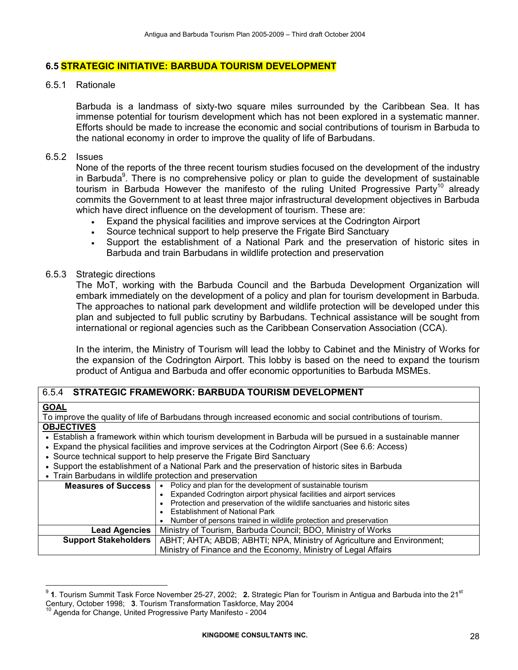#### 6.5 STRATEGIC INITIATIVE: BARBUDA TOURISM DEVELOPMENT

#### 6.5.1 Rationale

Barbuda is a landmass of sixty-two square miles surrounded by the Caribbean Sea. It has immense potential for tourism development which has not been explored in a systematic manner. Efforts should be made to increase the economic and social contributions of tourism in Barbuda to the national economy in order to improve the quality of life of Barbudans.

#### 6.5.2 Issues

None of the reports of the three recent tourism studies focused on the development of the industry in Barbuda<sup>9</sup>. There is no comprehensive policy or plan to guide the development of sustainable tourism in Barbuda However the manifesto of the ruling United Progressive Party<sup>10</sup> already commits the Government to at least three major infrastructural development objectives in Barbuda which have direct influence on the development of tourism. These are:

- Expand the physical facilities and improve services at the Codrington Airport
- Source technical support to help preserve the Frigate Bird Sanctuary
- Support the establishment of a National Park and the preservation of historic sites in Barbuda and train Barbudans in wildlife protection and preservation

#### 6.5.3 Strategic directions

The MoT, working with the Barbuda Council and the Barbuda Development Organization will embark immediately on the development of a policy and plan for tourism development in Barbuda. The approaches to national park development and wildlife protection will be developed under this plan and subjected to full public scrutiny by Barbudans. Technical assistance will be sought from international or regional agencies such as the Caribbean Conservation Association (CCA).

In the interim, the Ministry of Tourism will lead the lobby to Cabinet and the Ministry of Works for the expansion of the Codrington Airport. This lobby is based on the need to expand the tourism product of Antigua and Barbuda and offer economic opportunities to Barbuda MSMEs.

## 6.5.4 STRATEGIC FRAMEWORK: BARBUDA TOURISM DEVELOPMENT

### GOAL

 $\overline{a}$ 

To improve the quality of life of Barbudans through increased economic and social contributions of tourism. **OBJECTIVES** 

#### • Establish a framework within which tourism development in Barbuda will be pursued in a sustainable manner

- Expand the physical facilities and improve services at the Codrington Airport (See 6.6: Access)
- Source technical support to help preserve the Frigate Bird Sanctuary
- Support the establishment of a National Park and the preservation of historic sites in Barbuda

#### • Train Barbudans in wildlife protection and preservation

| <b>Measures of Success  </b> | Policy and plan for the development of sustainable tourism                   |  |  |  |  |  |  |  |
|------------------------------|------------------------------------------------------------------------------|--|--|--|--|--|--|--|
|                              | Expanded Codrington airport physical facilities and airport services         |  |  |  |  |  |  |  |
|                              | • Protection and preservation of the wildlife sanctuaries and historic sites |  |  |  |  |  |  |  |
|                              | <b>Establishment of National Park</b>                                        |  |  |  |  |  |  |  |
|                              | Number of persons trained in wildlife protection and preservation            |  |  |  |  |  |  |  |
| <b>Lead Agencies</b>         | Ministry of Tourism, Barbuda Council; BDO, Ministry of Works                 |  |  |  |  |  |  |  |
| <b>Support Stakeholders</b>  | ABHT; AHTA; ABDB; ABHTI; NPA, Ministry of Agriculture and Environment;       |  |  |  |  |  |  |  |
|                              | Ministry of Finance and the Economy, Ministry of Legal Affairs               |  |  |  |  |  |  |  |

 $^9$  1. Tourism Summit Task Force November 25-27, 2002; 2. Strategic Plan for Tourism in Antigua and Barbuda into the 21<sup>st</sup> Century, October 1998; 3. Tourism Transformation Taskforce, May 2004

Agenda for Change, United Progressive Party Manifesto - 2004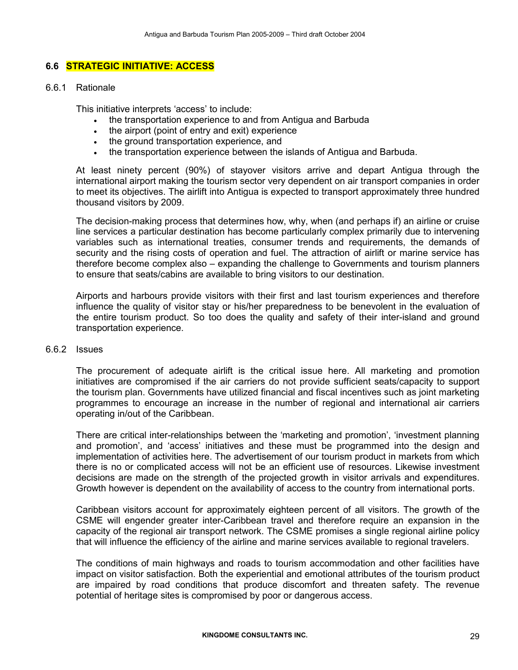## 6.6 STRATEGIC INITIATIVE: ACCESS

#### 6.6.1 Rationale

This initiative interprets 'access' to include:

- the transportation experience to and from Antigua and Barbuda
- the airport (point of entry and exit) experience
- the ground transportation experience, and
- the transportation experience between the islands of Antigua and Barbuda.

At least ninety percent (90%) of stayover visitors arrive and depart Antigua through the international airport making the tourism sector very dependent on air transport companies in order to meet its objectives. The airlift into Antigua is expected to transport approximately three hundred thousand visitors by 2009.

The decision-making process that determines how, why, when (and perhaps if) an airline or cruise line services a particular destination has become particularly complex primarily due to intervening variables such as international treaties, consumer trends and requirements, the demands of security and the rising costs of operation and fuel. The attraction of airlift or marine service has therefore become complex also – expanding the challenge to Governments and tourism planners to ensure that seats/cabins are available to bring visitors to our destination.

Airports and harbours provide visitors with their first and last tourism experiences and therefore influence the quality of visitor stay or his/her preparedness to be benevolent in the evaluation of the entire tourism product. So too does the quality and safety of their inter-island and ground transportation experience.

#### 6.6.2 Issues

The procurement of adequate airlift is the critical issue here. All marketing and promotion initiatives are compromised if the air carriers do not provide sufficient seats/capacity to support the tourism plan. Governments have utilized financial and fiscal incentives such as joint marketing programmes to encourage an increase in the number of regional and international air carriers operating in/out of the Caribbean.

There are critical inter-relationships between the 'marketing and promotion', 'investment planning and promotion', and 'access' initiatives and these must be programmed into the design and implementation of activities here. The advertisement of our tourism product in markets from which there is no or complicated access will not be an efficient use of resources. Likewise investment decisions are made on the strength of the projected growth in visitor arrivals and expenditures. Growth however is dependent on the availability of access to the country from international ports.

Caribbean visitors account for approximately eighteen percent of all visitors. The growth of the CSME will engender greater inter-Caribbean travel and therefore require an expansion in the capacity of the regional air transport network. The CSME promises a single regional airline policy that will influence the efficiency of the airline and marine services available to regional travelers.

The conditions of main highways and roads to tourism accommodation and other facilities have impact on visitor satisfaction. Both the experiential and emotional attributes of the tourism product are impaired by road conditions that produce discomfort and threaten safety. The revenue potential of heritage sites is compromised by poor or dangerous access.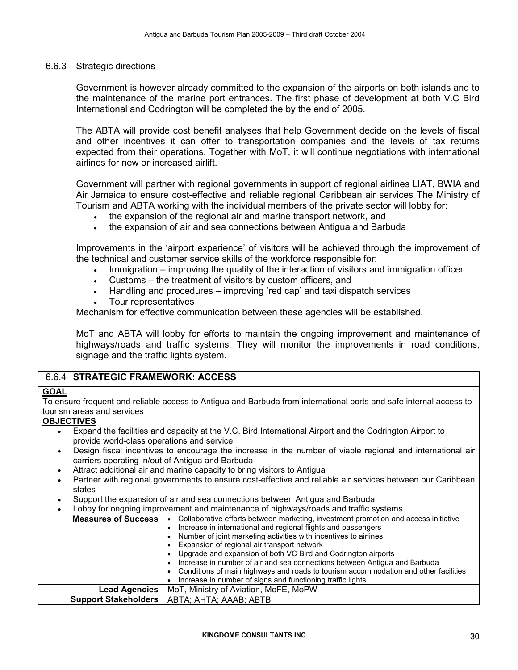#### 6.6.3 Strategic directions

Government is however already committed to the expansion of the airports on both islands and to the maintenance of the marine port entrances. The first phase of development at both V.C Bird International and Codrington will be completed the by the end of 2005.

The ABTA will provide cost benefit analyses that help Government decide on the levels of fiscal and other incentives it can offer to transportation companies and the levels of tax returns expected from their operations. Together with MoT, it will continue negotiations with international airlines for new or increased airlift.

Government will partner with regional governments in support of regional airlines LIAT, BWIA and Air Jamaica to ensure cost-effective and reliable regional Caribbean air services The Ministry of Tourism and ABTA working with the individual members of the private sector will lobby for:

- the expansion of the regional air and marine transport network, and
- the expansion of air and sea connections between Antigua and Barbuda

Improvements in the 'airport experience' of visitors will be achieved through the improvement of the technical and customer service skills of the workforce responsible for:

- Immigration improving the quality of the interaction of visitors and immigration officer
- Customs the treatment of visitors by custom officers, and
- Handling and procedures improving 'red cap' and taxi dispatch services
- Tour representatives

Mechanism for effective communication between these agencies will be established.

MoT and ABTA will lobby for efforts to maintain the ongoing improvement and maintenance of highways/roads and traffic systems. They will monitor the improvements in road conditions, signage and the traffic lights system.

## 6.6.4 STRATEGIC FRAMEWORK: ACCESS

## **GOAL**

To ensure frequent and reliable access to Antigua and Barbuda from international ports and safe internal access to tourism areas and services

#### **OBJECTIVES**

- Expand the facilities and capacity at the V.C. Bird International Airport and the Codrington Airport to provide world-class operations and service
- Design fiscal incentives to encourage the increase in the number of viable regional and international air carriers operating in/out of Antigua and Barbuda
- Attract additional air and marine capacity to bring visitors to Antigua
- Partner with regional governments to ensure cost-effective and reliable air services between our Caribbean states
- Support the expansion of air and sea connections between Antigua and Barbuda
- Lobby for ongoing improvement and maintenance of highways/roads and traffic systems

| <b>Measures of Success</b> | Collaborative efforts between marketing, investment promotion and access initiative |  |  |  |  |  |  |
|----------------------------|-------------------------------------------------------------------------------------|--|--|--|--|--|--|
|                            | Increase in international and regional flights and passengers                       |  |  |  |  |  |  |
|                            | Number of joint marketing activities with incentives to airlines                    |  |  |  |  |  |  |
|                            | Expansion of regional air transport network                                         |  |  |  |  |  |  |
|                            | Upgrade and expansion of both VC Bird and Codrington airports                       |  |  |  |  |  |  |
|                            | Increase in number of air and sea connections between Antigua and Barbuda           |  |  |  |  |  |  |
|                            | Conditions of main highways and roads to tourism accommodation and other facilities |  |  |  |  |  |  |
|                            | Increase in number of signs and functioning traffic lights                          |  |  |  |  |  |  |
| Lead Agencies              | MoT, Ministry of Aviation, MoFE, MoPW                                               |  |  |  |  |  |  |
|                            | Support Stakeholders   ABTA; AHTA; AAAB; ABTB                                       |  |  |  |  |  |  |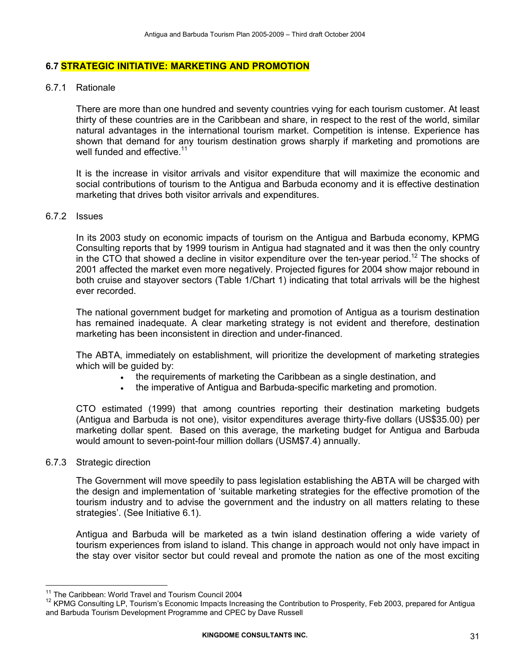#### 6.7 STRATEGIC INITIATIVE: MARKETING AND PROMOTION

#### 6.7.1 Rationale

There are more than one hundred and seventy countries vying for each tourism customer. At least thirty of these countries are in the Caribbean and share, in respect to the rest of the world, similar natural advantages in the international tourism market. Competition is intense. Experience has shown that demand for any tourism destination grows sharply if marketing and promotions are well funded and effective.<sup>11</sup>

It is the increase in visitor arrivals and visitor expenditure that will maximize the economic and social contributions of tourism to the Antigua and Barbuda economy and it is effective destination marketing that drives both visitor arrivals and expenditures.

#### 6.7.2 Issues

In its 2003 study on economic impacts of tourism on the Antigua and Barbuda economy, KPMG Consulting reports that by 1999 tourism in Antigua had stagnated and it was then the only country in the CTO that showed a decline in visitor expenditure over the ten-year period.<sup>12</sup> The shocks of 2001 affected the market even more negatively. Projected figures for 2004 show major rebound in both cruise and stayover sectors (Table 1/Chart 1) indicating that total arrivals will be the highest ever recorded.

The national government budget for marketing and promotion of Antigua as a tourism destination has remained inadequate. A clear marketing strategy is not evident and therefore, destination marketing has been inconsistent in direction and under-financed.

The ABTA, immediately on establishment, will prioritize the development of marketing strategies which will be quided by:

- the requirements of marketing the Caribbean as a single destination, and
- the imperative of Antigua and Barbuda-specific marketing and promotion.

CTO estimated (1999) that among countries reporting their destination marketing budgets (Antigua and Barbuda is not one), visitor expenditures average thirty-five dollars (US\$35.00) per marketing dollar spent. Based on this average, the marketing budget for Antigua and Barbuda would amount to seven-point-four million dollars (USM\$7.4) annually.

#### 6.7.3 Strategic direction

 $\overline{a}$ 

The Government will move speedily to pass legislation establishing the ABTA will be charged with the design and implementation of 'suitable marketing strategies for the effective promotion of the tourism industry and to advise the government and the industry on all matters relating to these strategies'. (See Initiative 6.1).

Antigua and Barbuda will be marketed as a twin island destination offering a wide variety of tourism experiences from island to island. This change in approach would not only have impact in the stay over visitor sector but could reveal and promote the nation as one of the most exciting

<sup>&</sup>lt;sup>11</sup> The Caribbean: World Travel and Tourism Council 2004

<sup>&</sup>lt;sup>12</sup> KPMG Consulting LP, Tourism's Economic Impacts Increasing the Contribution to Prosperity, Feb 2003, prepared for Antigua and Barbuda Tourism Development Programme and CPEC by Dave Russell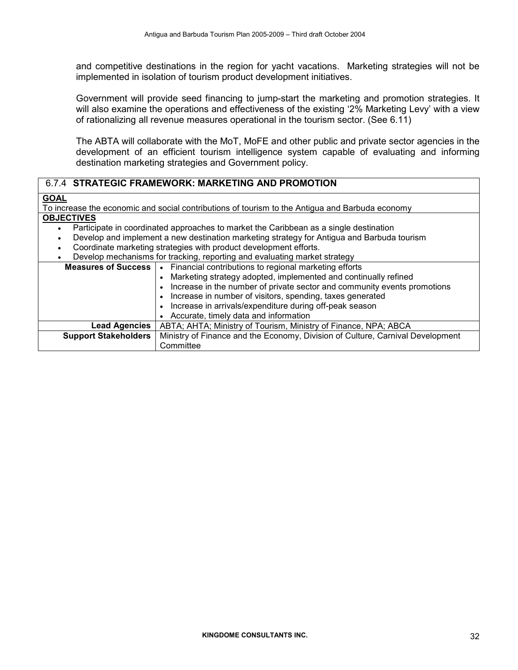and competitive destinations in the region for yacht vacations. Marketing strategies will not be implemented in isolation of tourism product development initiatives.

Government will provide seed financing to jump-start the marketing and promotion strategies. It will also examine the operations and effectiveness of the existing '2% Marketing Levy' with a view of rationalizing all revenue measures operational in the tourism sector. (See 6.11)

The ABTA will collaborate with the MoT, MoFE and other public and private sector agencies in the development of an efficient tourism intelligence system capable of evaluating and informing destination marketing strategies and Government policy.

## 6.7.4 STRATEGIC FRAMEWORK: MARKETING AND PROMOTION

#### **GOAL**

To increase the economic and social contributions of tourism to the Antigua and Barbuda economy

## **OBJECTIVES**

- Participate in coordinated approaches to market the Caribbean as a single destination
- Develop and implement a new destination marketing strategy for Antigua and Barbuda tourism
- Coordinate marketing strategies with product development efforts.
- Develop mechanisms for tracking, reporting and evaluating market strategy

| <u>salah mediamannya iai diademing, reperang ana erandaan iginian iai dalaleg j</u> |                                                                                |  |  |  |  |  |  |
|-------------------------------------------------------------------------------------|--------------------------------------------------------------------------------|--|--|--|--|--|--|
| Measures of Success   •                                                             | Financial contributions to regional marketing efforts                          |  |  |  |  |  |  |
|                                                                                     | Marketing strategy adopted, implemented and continually refined                |  |  |  |  |  |  |
|                                                                                     | Increase in the number of private sector and community events promotions       |  |  |  |  |  |  |
|                                                                                     | Increase in number of visitors, spending, taxes generated                      |  |  |  |  |  |  |
|                                                                                     | Increase in arrivals/expenditure during off-peak season<br>$\bullet$           |  |  |  |  |  |  |
|                                                                                     | Accurate, timely data and information                                          |  |  |  |  |  |  |
| Lead Agencies                                                                       | ABTA; AHTA; Ministry of Tourism, Ministry of Finance, NPA; ABCA                |  |  |  |  |  |  |
| <b>Support Stakeholders</b>                                                         | Ministry of Finance and the Economy, Division of Culture, Carnival Development |  |  |  |  |  |  |
|                                                                                     | Committee                                                                      |  |  |  |  |  |  |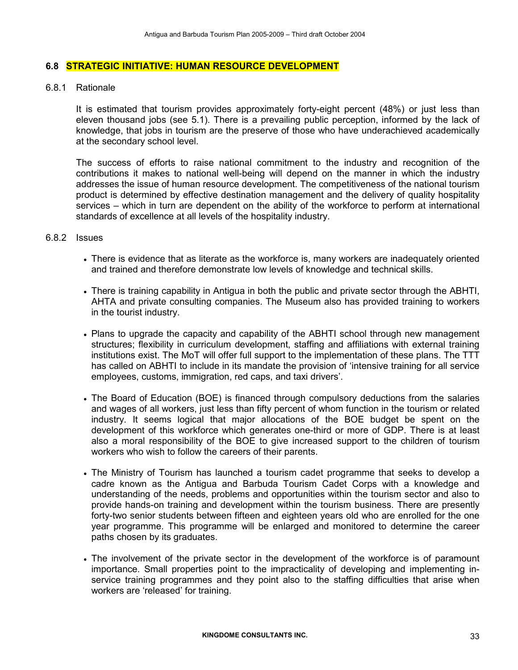#### 6.8 STRATEGIC INITIATIVE: HUMAN RESOURCE DEVELOPMENT

#### 6.8.1 Rationale

It is estimated that tourism provides approximately forty-eight percent (48%) or just less than eleven thousand jobs (see 5.1). There is a prevailing public perception, informed by the lack of knowledge, that jobs in tourism are the preserve of those who have underachieved academically at the secondary school level.

The success of efforts to raise national commitment to the industry and recognition of the contributions it makes to national well-being will depend on the manner in which the industry addresses the issue of human resource development. The competitiveness of the national tourism product is determined by effective destination management and the delivery of quality hospitality services – which in turn are dependent on the ability of the workforce to perform at international standards of excellence at all levels of the hospitality industry.

#### 6.8.2 Issues

- There is evidence that as literate as the workforce is, many workers are inadequately oriented and trained and therefore demonstrate low levels of knowledge and technical skills.
- There is training capability in Antigua in both the public and private sector through the ABHTI, AHTA and private consulting companies. The Museum also has provided training to workers in the tourist industry.
- Plans to upgrade the capacity and capability of the ABHTI school through new management structures; flexibility in curriculum development, staffing and affiliations with external training institutions exist. The MoT will offer full support to the implementation of these plans. The TTT has called on ABHTI to include in its mandate the provision of 'intensive training for all service employees, customs, immigration, red caps, and taxi drivers'.
- The Board of Education (BOE) is financed through compulsory deductions from the salaries and wages of all workers, just less than fifty percent of whom function in the tourism or related industry. It seems logical that major allocations of the BOE budget be spent on the development of this workforce which generates one-third or more of GDP. There is at least also a moral responsibility of the BOE to give increased support to the children of tourism workers who wish to follow the careers of their parents.
- The Ministry of Tourism has launched a tourism cadet programme that seeks to develop a cadre known as the Antigua and Barbuda Tourism Cadet Corps with a knowledge and understanding of the needs, problems and opportunities within the tourism sector and also to provide hands-on training and development within the tourism business. There are presently forty-two senior students between fifteen and eighteen years old who are enrolled for the one year programme. This programme will be enlarged and monitored to determine the career paths chosen by its graduates.
- The involvement of the private sector in the development of the workforce is of paramount importance. Small properties point to the impracticality of developing and implementing inservice training programmes and they point also to the staffing difficulties that arise when workers are 'released' for training.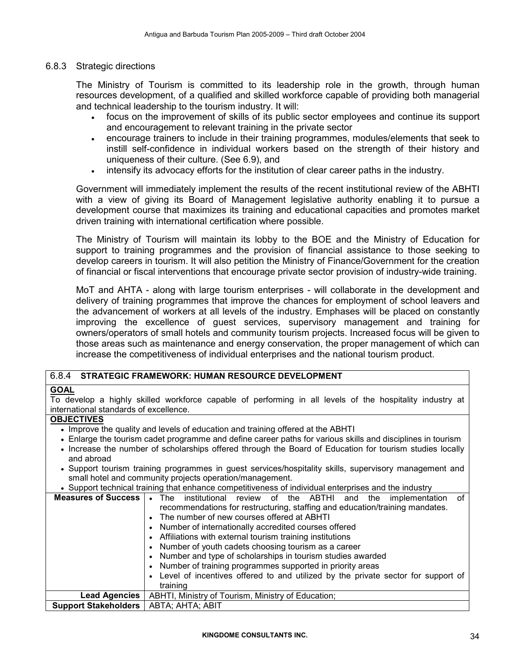#### 6.8.3 Strategic directions

The Ministry of Tourism is committed to its leadership role in the growth, through human resources development, of a qualified and skilled workforce capable of providing both managerial and technical leadership to the tourism industry. It will:

- focus on the improvement of skills of its public sector employees and continue its support and encouragement to relevant training in the private sector
- encourage trainers to include in their training programmes, modules/elements that seek to instill self-confidence in individual workers based on the strength of their history and uniqueness of their culture. (See 6.9), and
- intensify its advocacy efforts for the institution of clear career paths in the industry.

Government will immediately implement the results of the recent institutional review of the ABHTI with a view of giving its Board of Management legislative authority enabling it to pursue a development course that maximizes its training and educational capacities and promotes market driven training with international certification where possible.

The Ministry of Tourism will maintain its lobby to the BOE and the Ministry of Education for support to training programmes and the provision of financial assistance to those seeking to develop careers in tourism. It will also petition the Ministry of Finance/Government for the creation of financial or fiscal interventions that encourage private sector provision of industry-wide training.

MoT and AHTA - along with large tourism enterprises - will collaborate in the development and delivery of training programmes that improve the chances for employment of school leavers and the advancement of workers at all levels of the industry. Emphases will be placed on constantly improving the excellence of guest services, supervisory management and training for owners/operators of small hotels and community tourism projects. Increased focus will be given to those areas such as maintenance and energy conservation, the proper management of which can increase the competitiveness of individual enterprises and the national tourism product.

#### 6.8.4 STRATEGIC FRAMEWORK: HUMAN RESOURCE DEVELOPMENT

#### **GOAL**

To develop a highly skilled workforce capable of performing in all levels of the hospitality industry at international standards of excellence.

## **OBJECTIVES**

- Improve the quality and levels of education and training offered at the ABHTI
- Enlarge the tourism cadet programme and define career paths for various skills and disciplines in tourism
- Increase the number of scholarships offered through the Board of Education for tourism studies locally and abroad
- Support tourism training programmes in guest services/hospitality skills, supervisory management and small hotel and community projects operation/management.
- Support technical training that enhance competitiveness of individual enterprises and the industry

| <b>Measures of Success</b>  | institutional<br>review of the ABTHI<br><b>The</b><br>the<br>implementation<br>οf<br>and |  |  |  |  |  |  |  |
|-----------------------------|------------------------------------------------------------------------------------------|--|--|--|--|--|--|--|
|                             |                                                                                          |  |  |  |  |  |  |  |
|                             | recommendations for restructuring, staffing and education/training mandates.             |  |  |  |  |  |  |  |
|                             | • The number of new courses offered at ABHTI                                             |  |  |  |  |  |  |  |
|                             | • Number of internationally accredited courses offered                                   |  |  |  |  |  |  |  |
|                             | • Affiliations with external tourism training institutions                               |  |  |  |  |  |  |  |
|                             | • Number of youth cadets choosing tourism as a career                                    |  |  |  |  |  |  |  |
|                             | • Number and type of scholarships in tourism studies awarded                             |  |  |  |  |  |  |  |
|                             | • Number of training programmes supported in priority areas                              |  |  |  |  |  |  |  |
|                             | Level of incentives offered to and utilized by the private sector for support of         |  |  |  |  |  |  |  |
|                             | training                                                                                 |  |  |  |  |  |  |  |
| <b>Lead Agencies</b>        | ABHTI, Ministry of Tourism, Ministry of Education;                                       |  |  |  |  |  |  |  |
| <b>Support Stakeholders</b> | ABTA; AHTA; ABIT                                                                         |  |  |  |  |  |  |  |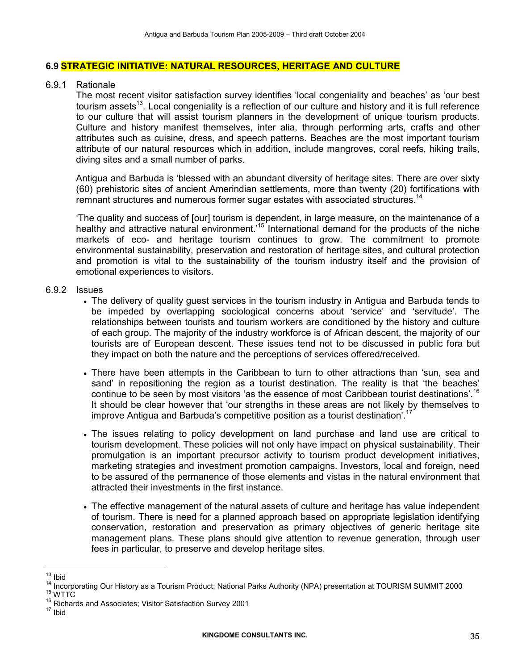#### 6.9 STRATEGIC INITIATIVE: NATURAL RESOURCES, HERITAGE AND CULTURE

#### 6.9.1 Rationale

The most recent visitor satisfaction survey identifies 'local congeniality and beaches' as 'our best tourism assets<sup>13</sup>. Local congeniality is a reflection of our culture and history and it is full reference to our culture that will assist tourism planners in the development of unique tourism products. Culture and history manifest themselves, inter alia, through performing arts, crafts and other attributes such as cuisine, dress, and speech patterns. Beaches are the most important tourism attribute of our natural resources which in addition, include mangroves, coral reefs, hiking trails, diving sites and a small number of parks.

Antigua and Barbuda is 'blessed with an abundant diversity of heritage sites. There are over sixty (60) prehistoric sites of ancient Amerindian settlements, more than twenty (20) fortifications with remnant structures and numerous former sugar estates with associated structures.<sup>14</sup>

'The quality and success of [our] tourism is dependent, in large measure, on the maintenance of a healthy and attractive natural environment.<sup>15</sup> International demand for the products of the niche markets of eco- and heritage tourism continues to grow. The commitment to promote environmental sustainability, preservation and restoration of heritage sites, and cultural protection and promotion is vital to the sustainability of the tourism industry itself and the provision of emotional experiences to visitors.

#### 6.9.2 Issues

- The delivery of quality guest services in the tourism industry in Antigua and Barbuda tends to be impeded by overlapping sociological concerns about 'service' and 'servitude'. The relationships between tourists and tourism workers are conditioned by the history and culture of each group. The majority of the industry workforce is of African descent, the majority of our tourists are of European descent. These issues tend not to be discussed in public fora but they impact on both the nature and the perceptions of services offered/received.
- There have been attempts in the Caribbean to turn to other attractions than 'sun, sea and sand' in repositioning the region as a tourist destination. The reality is that 'the beaches' continue to be seen by most visitors 'as the essence of most Caribbean tourist destinations'.<sup>16</sup> It should be clear however that 'our strengths in these areas are not likely by themselves to improve Antigua and Barbuda's competitive position as a tourist destination<sup>7</sup>.<sup>17</sup>
- The issues relating to policy development on land purchase and land use are critical to tourism development. These policies will not only have impact on physical sustainability. Their promulgation is an important precursor activity to tourism product development initiatives, marketing strategies and investment promotion campaigns. Investors, local and foreign, need to be assured of the permanence of those elements and vistas in the natural environment that attracted their investments in the first instance.
- The effective management of the natural assets of culture and heritage has value independent of tourism. There is need for a planned approach based on appropriate legislation identifying conservation, restoration and preservation as primary objectives of generic heritage site management plans. These plans should give attention to revenue generation, through user fees in particular, to preserve and develop heritage sites.

 $\overline{a}$ 

 $15$  WTTC

 $13$  Ibid

<sup>&</sup>lt;sup>14</sup> Incorporating Our History as a Tourism Product; National Parks Authority (NPA) presentation at TOURISM SUMMIT 2000

<sup>&</sup>lt;sup>16</sup> Richards and Associates; Visitor Satisfaction Survey 2001

 $17$  Ibid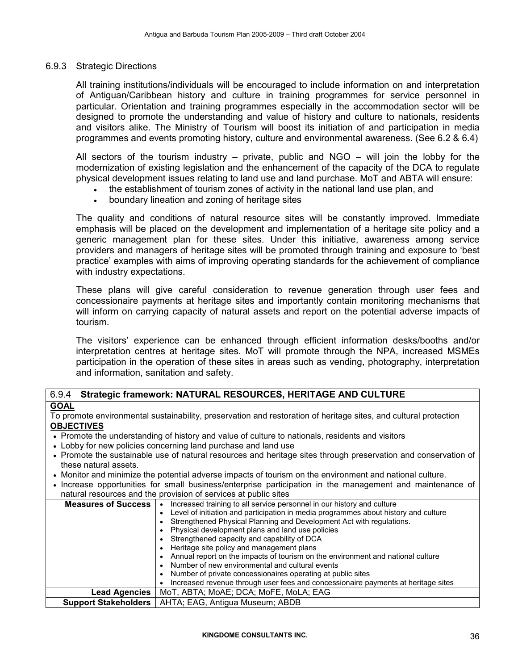#### 6.9.3 Strategic Directions

All training institutions/individuals will be encouraged to include information on and interpretation of Antiguan/Caribbean history and culture in training programmes for service personnel in particular. Orientation and training programmes especially in the accommodation sector will be designed to promote the understanding and value of history and culture to nationals, residents and visitors alike. The Ministry of Tourism will boost its initiation of and participation in media programmes and events promoting history, culture and environmental awareness. (See 6.2 & 6.4)

All sectors of the tourism industry – private, public and NGO – will join the lobby for the modernization of existing legislation and the enhancement of the capacity of the DCA to regulate physical development issues relating to land use and land purchase. MoT and ABTA will ensure:

- the establishment of tourism zones of activity in the national land use plan, and
- boundary lineation and zoning of heritage sites

The quality and conditions of natural resource sites will be constantly improved. Immediate emphasis will be placed on the development and implementation of a heritage site policy and a generic management plan for these sites. Under this initiative, awareness among service providers and managers of heritage sites will be promoted through training and exposure to 'best practice' examples with aims of improving operating standards for the achievement of compliance with industry expectations.

These plans will give careful consideration to revenue generation through user fees and concessionaire payments at heritage sites and importantly contain monitoring mechanisms that will inform on carrying capacity of natural assets and report on the potential adverse impacts of tourism.

The visitors' experience can be enhanced through efficient information desks/booths and/or interpretation centres at heritage sites. MoT will promote through the NPA, increased MSMEs participation in the operation of these sites in areas such as vending, photography, interpretation and information, sanitation and safety.

## 6.9.4 Strategic framework: NATURAL RESOURCES, HERITAGE AND CULTURE **GOAL**

#### To promote environmental sustainability, preservation and restoration of heritage sites, and cultural protection **OBJECTIVES**

- Promote the understanding of history and value of culture to nationals, residents and visitors
- Lobby for new policies concerning land purchase and land use
- Promote the sustainable use of natural resources and heritage sites through preservation and conservation of these natural assets.
- Monitor and minimize the potential adverse impacts of tourism on the environment and national culture.
- Increase opportunities for small business/enterprise participation in the management and maintenance of natural resources and the provision of services at public sites

| <b>Measures of Success</b> | Increased training to all service personnel in our history and culture                |  |  |  |  |  |  |  |
|----------------------------|---------------------------------------------------------------------------------------|--|--|--|--|--|--|--|
|                            | • Level of initiation and participation in media programmes about history and culture |  |  |  |  |  |  |  |
|                            | Strengthened Physical Planning and Development Act with regulations.                  |  |  |  |  |  |  |  |
|                            | Physical development plans and land use policies                                      |  |  |  |  |  |  |  |
|                            | Strengthened capacity and capability of DCA                                           |  |  |  |  |  |  |  |
|                            | Heritage site policy and management plans                                             |  |  |  |  |  |  |  |
|                            | • Annual report on the impacts of tourism on the environment and national culture     |  |  |  |  |  |  |  |
|                            | • Number of new environmental and cultural events                                     |  |  |  |  |  |  |  |
|                            | • Number of private concessionaires operating at public sites                         |  |  |  |  |  |  |  |
|                            | Increased revenue through user fees and concessionaire payments at heritage sites     |  |  |  |  |  |  |  |
| <b>Lead Agencies</b>       | MoT, ABTA; MoAE; DCA; MoFE, MoLA; EAG                                                 |  |  |  |  |  |  |  |
|                            | <b>Support Stakeholders</b>   AHTA; EAG, Antigua Museum; ABDB                         |  |  |  |  |  |  |  |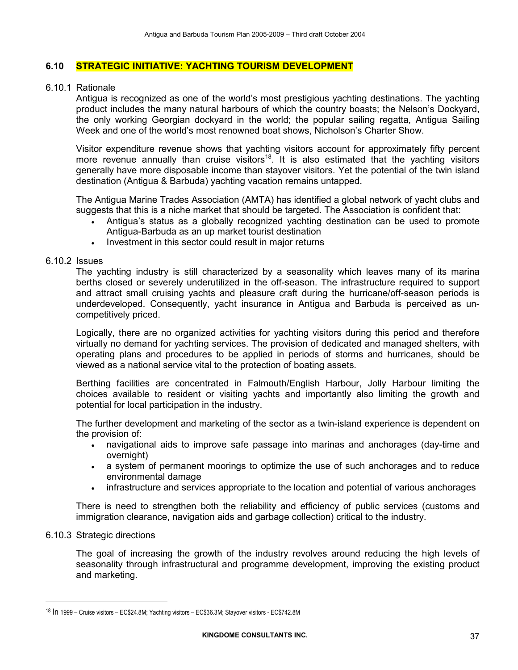#### 6.10 STRATEGIC INITIATIVE: YACHTING TOURISM DEVELOPMENT

#### 6.10.1 Rationale

Antigua is recognized as one of the world's most prestigious yachting destinations. The yachting product includes the many natural harbours of which the country boasts; the Nelson's Dockyard, the only working Georgian dockyard in the world; the popular sailing regatta, Antigua Sailing Week and one of the world's most renowned boat shows, Nicholson's Charter Show.

Visitor expenditure revenue shows that yachting visitors account for approximately fifty percent more revenue annually than cruise visitors<sup>18</sup>. It is also estimated that the yachting visitors generally have more disposable income than stayover visitors. Yet the potential of the twin island destination (Antigua & Barbuda) yachting vacation remains untapped.

The Antigua Marine Trades Association (AMTA) has identified a global network of yacht clubs and suggests that this is a niche market that should be targeted. The Association is confident that:

- Antigua's status as a globally recognized yachting destination can be used to promote Antigua-Barbuda as an up market tourist destination
- Investment in this sector could result in major returns

#### 6.10.2 Issues

The yachting industry is still characterized by a seasonality which leaves many of its marina berths closed or severely underutilized in the off-season. The infrastructure required to support and attract small cruising yachts and pleasure craft during the hurricane/off-season periods is underdeveloped. Consequently, yacht insurance in Antigua and Barbuda is perceived as uncompetitively priced.

Logically, there are no organized activities for yachting visitors during this period and therefore virtually no demand for yachting services. The provision of dedicated and managed shelters, with operating plans and procedures to be applied in periods of storms and hurricanes, should be viewed as a national service vital to the protection of boating assets.

Berthing facilities are concentrated in Falmouth/English Harbour, Jolly Harbour limiting the choices available to resident or visiting yachts and importantly also limiting the growth and potential for local participation in the industry.

The further development and marketing of the sector as a twin-island experience is dependent on the provision of:

- navigational aids to improve safe passage into marinas and anchorages (day-time and overnight)
- a system of permanent moorings to optimize the use of such anchorages and to reduce environmental damage
- infrastructure and services appropriate to the location and potential of various anchorages

There is need to strengthen both the reliability and efficiency of public services (customs and immigration clearance, navigation aids and garbage collection) critical to the industry.

#### 6.10.3 Strategic directions

 $\overline{a}$ 

The goal of increasing the growth of the industry revolves around reducing the high levels of seasonality through infrastructural and programme development, improving the existing product and marketing.

<sup>18</sup> In 1999 – Cruise visitors – EC\$24.8M; Yachting visitors – EC\$36.3M; Stayover visitors - EC\$742.8M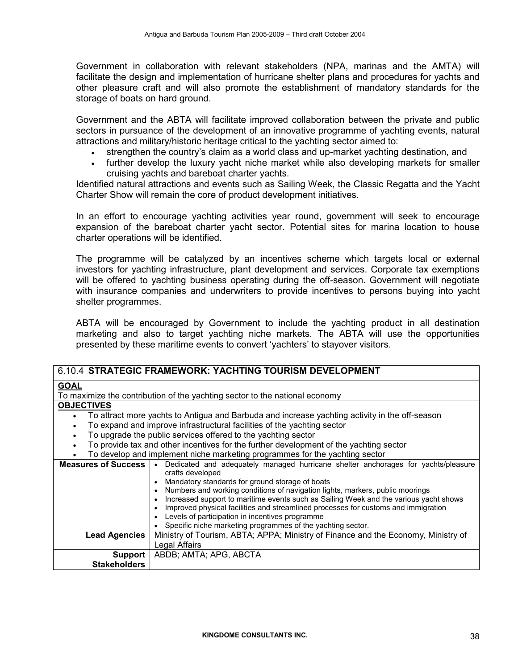Government in collaboration with relevant stakeholders (NPA, marinas and the AMTA) will facilitate the design and implementation of hurricane shelter plans and procedures for yachts and other pleasure craft and will also promote the establishment of mandatory standards for the storage of boats on hard ground.

Government and the ABTA will facilitate improved collaboration between the private and public sectors in pursuance of the development of an innovative programme of yachting events, natural attractions and military/historic heritage critical to the yachting sector aimed to:

- strengthen the country's claim as a world class and up-market yachting destination, and
- further develop the luxury yacht niche market while also developing markets for smaller cruising yachts and bareboat charter yachts.

Identified natural attractions and events such as Sailing Week, the Classic Regatta and the Yacht Charter Show will remain the core of product development initiatives.

In an effort to encourage yachting activities year round, government will seek to encourage expansion of the bareboat charter yacht sector. Potential sites for marina location to house charter operations will be identified.

The programme will be catalyzed by an incentives scheme which targets local or external investors for yachting infrastructure, plant development and services. Corporate tax exemptions will be offered to yachting business operating during the off-season. Government will negotiate with insurance companies and underwriters to provide incentives to persons buying into yacht shelter programmes.

ABTA will be encouraged by Government to include the yachting product in all destination marketing and also to target yachting niche markets. The ABTA will use the opportunities presented by these maritime events to convert 'yachters' to stayover visitors.

| 6.10.4 STRATEGIC FRAMEWORK: YACHTING TOURISM DEVELOPMENT                                                                              |  |
|---------------------------------------------------------------------------------------------------------------------------------------|--|
| <b>GOAL</b>                                                                                                                           |  |
| To maximize the contribution of the yachting sector to the national economy                                                           |  |
| <b>OBJECTIVES</b>                                                                                                                     |  |
| To attract more yachts to Antigua and Barbuda and increase yachting activity in the off-season                                        |  |
| To expand and improve infrastructural facilities of the yachting sector                                                               |  |
| To upgrade the public services offered to the yachting sector                                                                         |  |
| To provide tax and other incentives for the further development of the yachting sector                                                |  |
| To develop and implement niche marketing programmes for the yachting sector                                                           |  |
| • Dedicated and adequately managed hurricane shelter anchorages for yachts/pleasure<br><b>Measures of Success  </b>                   |  |
| crafts developed                                                                                                                      |  |
| Mandatory standards for ground storage of boats                                                                                       |  |
| Numbers and working conditions of navigation lights, markers, public moorings                                                         |  |
| Increased support to maritime events such as Sailing Week and the various yacht shows                                                 |  |
| Improved physical facilities and streamlined processes for customs and immigration<br>Levels of participation in incentives programme |  |
| Specific niche marketing programmes of the yachting sector.                                                                           |  |
| <b>Lead Agencies</b><br>Ministry of Tourism, ABTA; APPA; Ministry of Finance and the Economy, Ministry of                             |  |
|                                                                                                                                       |  |
| <b>Legal Affairs</b>                                                                                                                  |  |
| ABDB; AMTA; APG, ABCTA<br>Support                                                                                                     |  |
| <b>Stakeholders</b>                                                                                                                   |  |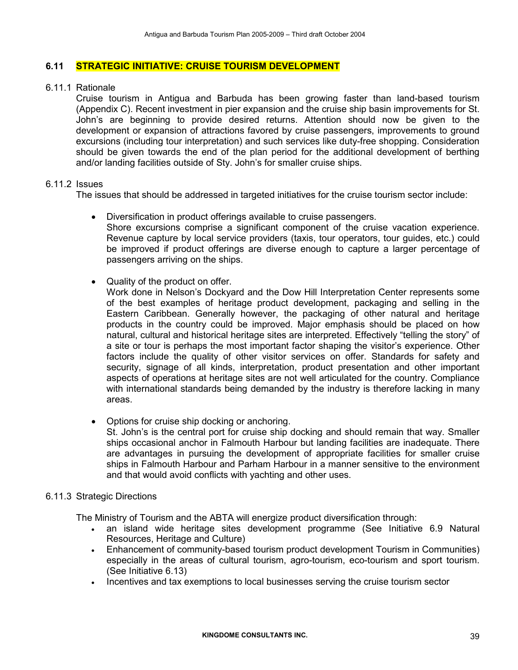#### 6.11 STRATEGIC INITIATIVE: CRUISE TOURISM DEVELOPMENT

#### 6.11.1 Rationale

Cruise tourism in Antigua and Barbuda has been growing faster than land-based tourism (Appendix C). Recent investment in pier expansion and the cruise ship basin improvements for St. John's are beginning to provide desired returns. Attention should now be given to the development or expansion of attractions favored by cruise passengers, improvements to ground excursions (including tour interpretation) and such services like duty-free shopping. Consideration should be given towards the end of the plan period for the additional development of berthing and/or landing facilities outside of Sty. John's for smaller cruise ships.

#### 6.11.2 Issues

The issues that should be addressed in targeted initiatives for the cruise tourism sector include:

- Diversification in product offerings available to cruise passengers. Shore excursions comprise a significant component of the cruise vacation experience. Revenue capture by local service providers (taxis, tour operators, tour guides, etc.) could be improved if product offerings are diverse enough to capture a larger percentage of
- Quality of the product on offer.

passengers arriving on the ships.

- Work done in Nelson's Dockyard and the Dow Hill Interpretation Center represents some of the best examples of heritage product development, packaging and selling in the Eastern Caribbean. Generally however, the packaging of other natural and heritage products in the country could be improved. Major emphasis should be placed on how natural, cultural and historical heritage sites are interpreted. Effectively "telling the story" of a site or tour is perhaps the most important factor shaping the visitor's experience. Other factors include the quality of other visitor services on offer. Standards for safety and security, signage of all kinds, interpretation, product presentation and other important aspects of operations at heritage sites are not well articulated for the country. Compliance with international standards being demanded by the industry is therefore lacking in many areas.
- Options for cruise ship docking or anchoring.

St. John's is the central port for cruise ship docking and should remain that way. Smaller ships occasional anchor in Falmouth Harbour but landing facilities are inadequate. There are advantages in pursuing the development of appropriate facilities for smaller cruise ships in Falmouth Harbour and Parham Harbour in a manner sensitive to the environment and that would avoid conflicts with yachting and other uses.

#### 6.11.3 Strategic Directions

The Ministry of Tourism and the ABTA will energize product diversification through:

- an island wide heritage sites development programme (See Initiative 6.9 Natural Resources, Heritage and Culture)
- Enhancement of community-based tourism product development Tourism in Communities) especially in the areas of cultural tourism, agro-tourism, eco-tourism and sport tourism. (See Initiative 6.13)
- Incentives and tax exemptions to local businesses serving the cruise tourism sector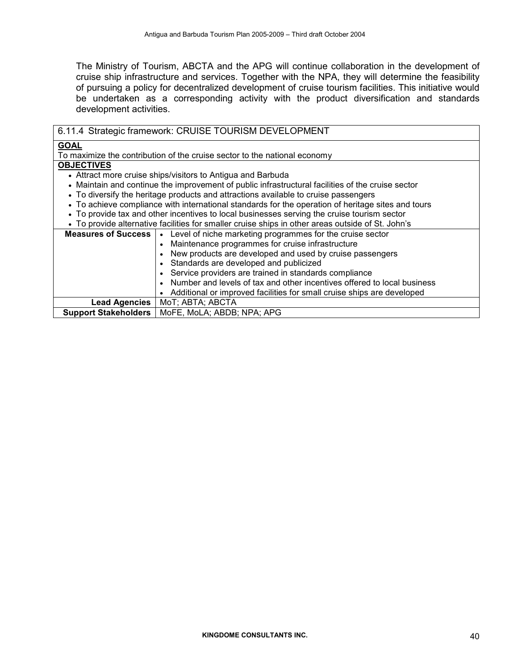The Ministry of Tourism, ABCTA and the APG will continue collaboration in the development of cruise ship infrastructure and services. Together with the NPA, they will determine the feasibility of pursuing a policy for decentralized development of cruise tourism facilities. This initiative would be undertaken as a corresponding activity with the product diversification and standards development activities.

| 6.11.4 Strategic framework: CRUISE TOURISM DEVELOPMENT |                                                                                                    |  |  |  |  |
|--------------------------------------------------------|----------------------------------------------------------------------------------------------------|--|--|--|--|
| <b>GOAL</b>                                            |                                                                                                    |  |  |  |  |
|                                                        | To maximize the contribution of the cruise sector to the national economy                          |  |  |  |  |
| <b>OBJECTIVES</b>                                      |                                                                                                    |  |  |  |  |
|                                                        | • Attract more cruise ships/visitors to Antigua and Barbuda                                        |  |  |  |  |
|                                                        | • Maintain and continue the improvement of public infrastructural facilities of the cruise sector  |  |  |  |  |
|                                                        | • To diversify the heritage products and attractions available to cruise passengers                |  |  |  |  |
|                                                        | • To achieve compliance with international standards for the operation of heritage sites and tours |  |  |  |  |
|                                                        | • To provide tax and other incentives to local businesses serving the cruise tourism sector        |  |  |  |  |
|                                                        | • To provide alternative facilities for smaller cruise ships in other areas outside of St. John's  |  |  |  |  |
| <b>Measures of Success  </b>                           | • Level of niche marketing programmes for the cruise sector                                        |  |  |  |  |
|                                                        | Maintenance programmes for cruise infrastructure                                                   |  |  |  |  |
|                                                        | New products are developed and used by cruise passengers                                           |  |  |  |  |
|                                                        | Standards are developed and publicized                                                             |  |  |  |  |
|                                                        | Service providers are trained in standards compliance                                              |  |  |  |  |
|                                                        | Number and levels of tax and other incentives offered to local business                            |  |  |  |  |
|                                                        | • Additional or improved facilities for small cruise ships are developed                           |  |  |  |  |
| <b>Lead Agencies</b>                                   | MoT; ABTA; ABCTA                                                                                   |  |  |  |  |
| <b>Support Stakeholders</b>                            | MoFE, MoLA; ABDB; NPA; APG                                                                         |  |  |  |  |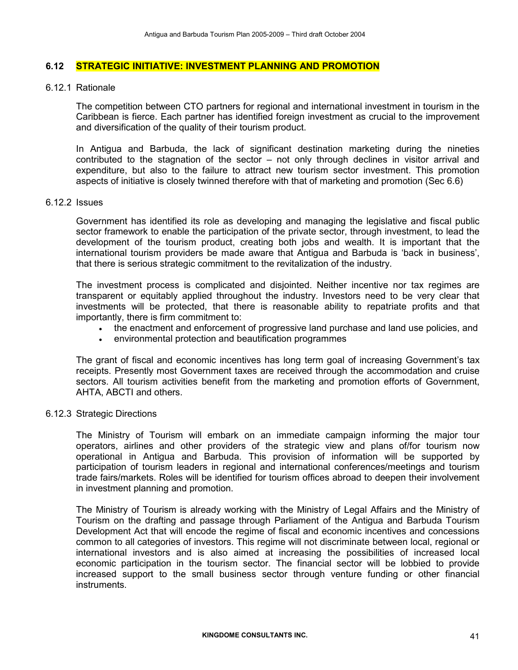#### 6.12 STRATEGIC INITIATIVE: INVESTMENT PLANNING AND PROMOTION

6.12.1 Rationale

The competition between CTO partners for regional and international investment in tourism in the Caribbean is fierce. Each partner has identified foreign investment as crucial to the improvement and diversification of the quality of their tourism product.

In Antigua and Barbuda, the lack of significant destination marketing during the nineties contributed to the stagnation of the sector – not only through declines in visitor arrival and expenditure, but also to the failure to attract new tourism sector investment. This promotion aspects of initiative is closely twinned therefore with that of marketing and promotion (Sec 6.6)

#### 6.12.2 Issues

Government has identified its role as developing and managing the legislative and fiscal public sector framework to enable the participation of the private sector, through investment, to lead the development of the tourism product, creating both jobs and wealth. It is important that the international tourism providers be made aware that Antigua and Barbuda is 'back in business', that there is serious strategic commitment to the revitalization of the industry.

The investment process is complicated and disjointed. Neither incentive nor tax regimes are transparent or equitably applied throughout the industry. Investors need to be very clear that investments will be protected, that there is reasonable ability to repatriate profits and that importantly, there is firm commitment to:

- the enactment and enforcement of progressive land purchase and land use policies, and
- environmental protection and beautification programmes

The grant of fiscal and economic incentives has long term goal of increasing Government's tax receipts. Presently most Government taxes are received through the accommodation and cruise sectors. All tourism activities benefit from the marketing and promotion efforts of Government, AHTA, ABCTI and others.

#### 6.12.3 Strategic Directions

The Ministry of Tourism will embark on an immediate campaign informing the major tour operators, airlines and other providers of the strategic view and plans of/for tourism now operational in Antigua and Barbuda. This provision of information will be supported by participation of tourism leaders in regional and international conferences/meetings and tourism trade fairs/markets. Roles will be identified for tourism offices abroad to deepen their involvement in investment planning and promotion.

The Ministry of Tourism is already working with the Ministry of Legal Affairs and the Ministry of Tourism on the drafting and passage through Parliament of the Antigua and Barbuda Tourism Development Act that will encode the regime of fiscal and economic incentives and concessions common to all categories of investors. This regime will not discriminate between local, regional or international investors and is also aimed at increasing the possibilities of increased local economic participation in the tourism sector. The financial sector will be lobbied to provide increased support to the small business sector through venture funding or other financial instruments.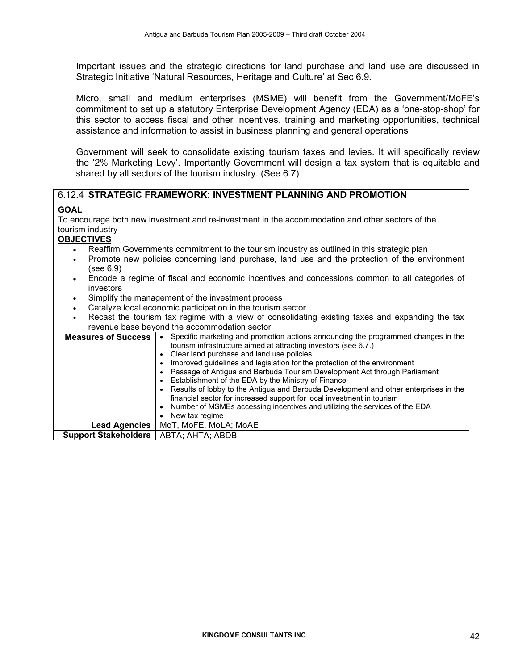Important issues and the strategic directions for land purchase and land use are discussed in Strategic Initiative 'Natural Resources, Heritage and Culture' at Sec 6.9.

Micro, small and medium enterprises (MSME) will benefit from the Government/MoFE's commitment to set up a statutory Enterprise Development Agency (EDA) as a 'one-stop-shop' for this sector to access fiscal and other incentives, training and marketing opportunities, technical assistance and information to assist in business planning and general operations

Government will seek to consolidate existing tourism taxes and levies. It will specifically review the '2% Marketing Levy'. Importantly Government will design a tax system that is equitable and shared by all sectors of the tourism industry. (See 6.7)

#### 6.12.4 STRATEGIC FRAMEWORK: INVESTMENT PLANNING AND PROMOTION

#### **GOAL**

To encourage both new investment and re-investment in the accommodation and other sectors of the tourism industry

## **OBJECTIVES**

- Reaffirm Governments commitment to the tourism industry as outlined in this strategic plan
- Promote new policies concerning land purchase, land use and the protection of the environment (see 6.9)
- Encode a regime of fiscal and economic incentives and concessions common to all categories of investors
- Simplify the management of the investment process
- Catalyze local economic participation in the tourism sector
- Recast the tourism tax regime with a view of consolidating existing taxes and expanding the tax revenue base beyond the accommodation sector

| <b>Measures of Success</b>  | Specific marketing and promotion actions announcing the programmed changes in the<br>tourism infrastructure aimed at attracting investors (see 6.7.)<br>Clear land purchase and land use policies<br>Improved guidelines and legislation for the protection of the environment<br>Passage of Antigua and Barbuda Tourism Development Act through Parliament<br>Establishment of the EDA by the Ministry of Finance<br>Results of lobby to the Antigua and Barbuda Development and other enterprises in the<br>financial sector for increased support for local investment in tourism<br>Number of MSMEs accessing incentives and utilizing the services of the EDA<br>New tax regime |
|-----------------------------|--------------------------------------------------------------------------------------------------------------------------------------------------------------------------------------------------------------------------------------------------------------------------------------------------------------------------------------------------------------------------------------------------------------------------------------------------------------------------------------------------------------------------------------------------------------------------------------------------------------------------------------------------------------------------------------|
| <b>Lead Agencies</b>        | MoT, MoFE, MoLA; MoAE                                                                                                                                                                                                                                                                                                                                                                                                                                                                                                                                                                                                                                                                |
| <b>Support Stakeholders</b> | ABTA; AHTA; ABDB                                                                                                                                                                                                                                                                                                                                                                                                                                                                                                                                                                                                                                                                     |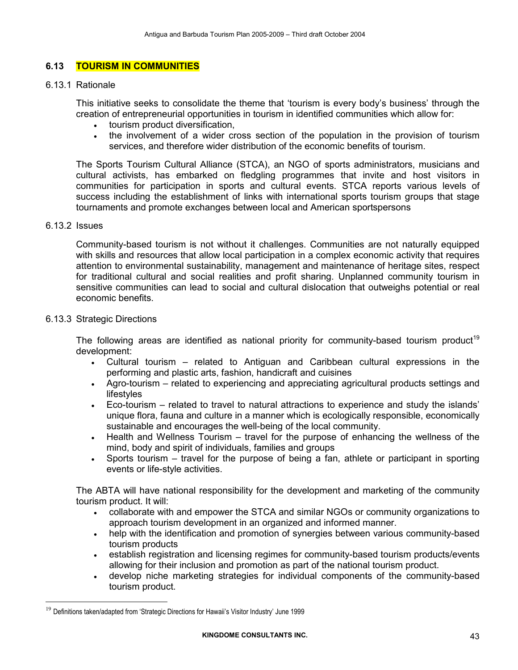## 6.13 TOURISM IN COMMUNITIES

#### 6.13.1 Rationale

This initiative seeks to consolidate the theme that 'tourism is every body's business' through the creation of entrepreneurial opportunities in tourism in identified communities which allow for:

- tourism product diversification,
- the involvement of a wider cross section of the population in the provision of tourism services, and therefore wider distribution of the economic benefits of tourism.

The Sports Tourism Cultural Alliance (STCA), an NGO of sports administrators, musicians and cultural activists, has embarked on fledgling programmes that invite and host visitors in communities for participation in sports and cultural events. STCA reports various levels of success including the establishment of links with international sports tourism groups that stage tournaments and promote exchanges between local and American sportspersons

#### 6.13.2 Issues

 $\overline{a}$ 

Community-based tourism is not without it challenges. Communities are not naturally equipped with skills and resources that allow local participation in a complex economic activity that requires attention to environmental sustainability, management and maintenance of heritage sites, respect for traditional cultural and social realities and profit sharing. Unplanned community tourism in sensitive communities can lead to social and cultural dislocation that outweighs potential or real economic benefits.

#### 6.13.3 Strategic Directions

The following areas are identified as national priority for community-based tourism product<sup>19</sup> development:

- Cultural tourism related to Antiguan and Caribbean cultural expressions in the performing and plastic arts, fashion, handicraft and cuisines
- Agro-tourism related to experiencing and appreciating agricultural products settings and lifestyles
- Eco-tourism related to travel to natural attractions to experience and study the islands' unique flora, fauna and culture in a manner which is ecologically responsible, economically sustainable and encourages the well-being of the local community.
- Health and Wellness Tourism travel for the purpose of enhancing the wellness of the mind, body and spirit of individuals, families and groups
- Sports tourism travel for the purpose of being a fan, athlete or participant in sporting events or life-style activities.

The ABTA will have national responsibility for the development and marketing of the community tourism product. It will:

- collaborate with and empower the STCA and similar NGOs or community organizations to approach tourism development in an organized and informed manner.
- help with the identification and promotion of synergies between various community-based tourism products
- establish registration and licensing regimes for community-based tourism products/events allowing for their inclusion and promotion as part of the national tourism product.
- develop niche marketing strategies for individual components of the community-based tourism product.

<sup>&</sup>lt;sup>19</sup> Definitions taken/adapted from 'Strategic Directions for Hawaii's Visitor Industry' June 1999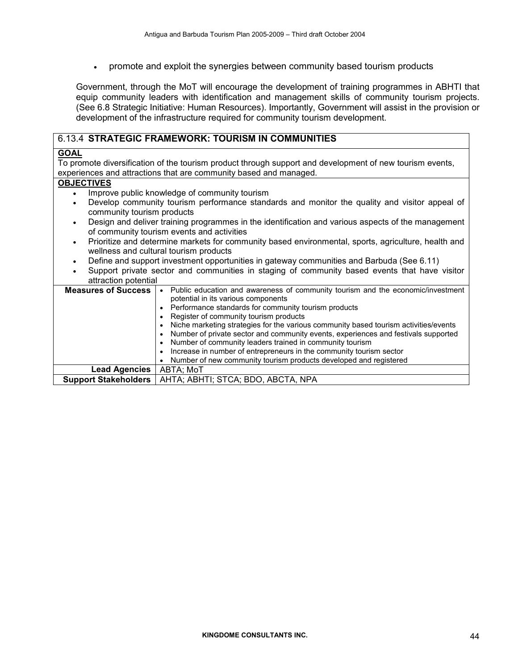• promote and exploit the synergies between community based tourism products

Government, through the MoT will encourage the development of training programmes in ABHTI that equip community leaders with identification and management skills of community tourism projects. (See 6.8 Strategic Initiative: Human Resources). Importantly, Government will assist in the provision or development of the infrastructure required for community tourism development.

#### 6.13.4 STRATEGIC FRAMEWORK: TOURISM IN COMMUNITIES

#### GOAL

To promote diversification of the tourism product through support and development of new tourism events, experiences and attractions that are community based and managed.

#### **OBJECTIVES**

- Improve public knowledge of community tourism
- Develop community tourism performance standards and monitor the quality and visitor appeal of community tourism products
- Design and deliver training programmes in the identification and various aspects of the management of community tourism events and activities
- Prioritize and determine markets for community based environmental, sports, agriculture, health and wellness and cultural tourism products
- Define and support investment opportunities in gateway communities and Barbuda (See 6.11)
- Support private sector and communities in staging of community based events that have visitor attraction potential

| awayno bowina               |                                                                                                                                                                                                                                                                                                                                                                                                                                                                                                                                                                                                                    |
|-----------------------------|--------------------------------------------------------------------------------------------------------------------------------------------------------------------------------------------------------------------------------------------------------------------------------------------------------------------------------------------------------------------------------------------------------------------------------------------------------------------------------------------------------------------------------------------------------------------------------------------------------------------|
| <b>Measures of Success</b>  | • Public education and awareness of community tourism and the economic/investment<br>potential in its various components<br>• Performance standards for community tourism products<br>Register of community tourism products<br>Niche marketing strategies for the various community based tourism activities/events<br>Number of private sector and community events, experiences and festivals supported<br>Number of community leaders trained in community tourism<br>Increase in number of entrepreneurs in the community tourism sector<br>Number of new community tourism products developed and registered |
| <b>Lead Agencies</b>        | ABTA; MoT                                                                                                                                                                                                                                                                                                                                                                                                                                                                                                                                                                                                          |
|                             |                                                                                                                                                                                                                                                                                                                                                                                                                                                                                                                                                                                                                    |
| <b>Support Stakeholders</b> | AHTA; ABHTI; STCA; BDO, ABCTA, NPA                                                                                                                                                                                                                                                                                                                                                                                                                                                                                                                                                                                 |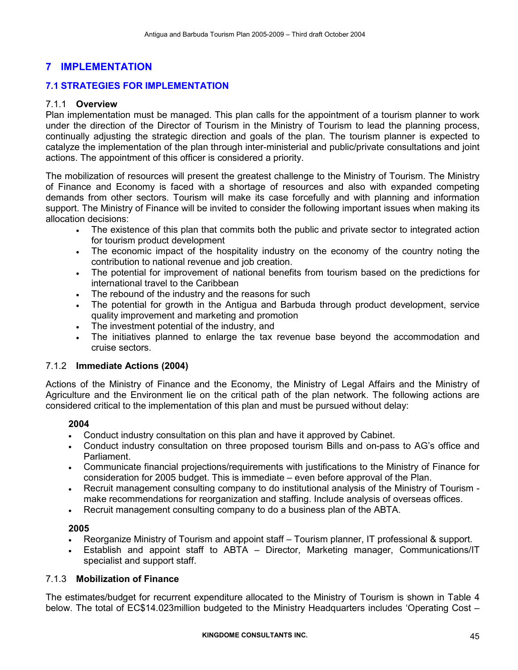## 7 IMPLEMENTATION

## 7.1 STRATEGIES FOR IMPLEMENTATION

### 7.1.1 Overview

Plan implementation must be managed. This plan calls for the appointment of a tourism planner to work under the direction of the Director of Tourism in the Ministry of Tourism to lead the planning process, continually adjusting the strategic direction and goals of the plan. The tourism planner is expected to catalyze the implementation of the plan through inter-ministerial and public/private consultations and joint actions. The appointment of this officer is considered a priority.

The mobilization of resources will present the greatest challenge to the Ministry of Tourism. The Ministry of Finance and Economy is faced with a shortage of resources and also with expanded competing demands from other sectors. Tourism will make its case forcefully and with planning and information support. The Ministry of Finance will be invited to consider the following important issues when making its allocation decisions:

- The existence of this plan that commits both the public and private sector to integrated action for tourism product development
- The economic impact of the hospitality industry on the economy of the country noting the contribution to national revenue and job creation.
- The potential for improvement of national benefits from tourism based on the predictions for international travel to the Caribbean
- The rebound of the industry and the reasons for such
- The potential for growth in the Antigua and Barbuda through product development, service quality improvement and marketing and promotion
- The investment potential of the industry, and
- The initiatives planned to enlarge the tax revenue base beyond the accommodation and cruise sectors.

#### 7.1.2 Immediate Actions (2004)

Actions of the Ministry of Finance and the Economy, the Ministry of Legal Affairs and the Ministry of Agriculture and the Environment lie on the critical path of the plan network. The following actions are considered critical to the implementation of this plan and must be pursued without delay:

## 2004

- Conduct industry consultation on this plan and have it approved by Cabinet.
- Conduct industry consultation on three proposed tourism Bills and on-pass to AG's office and Parliament.
- Communicate financial projections/requirements with justifications to the Ministry of Finance for consideration for 2005 budget. This is immediate – even before approval of the Plan.
- Recruit management consulting company to do institutional analysis of the Ministry of Tourism make recommendations for reorganization and staffing. Include analysis of overseas offices.
- Recruit management consulting company to do a business plan of the ABTA.

## 2005

- Reorganize Ministry of Tourism and appoint staff Tourism planner, IT professional & support.
- Establish and appoint staff to ABTA Director, Marketing manager, Communications/IT specialist and support staff.

## 7.1.3 Mobilization of Finance

The estimates/budget for recurrent expenditure allocated to the Ministry of Tourism is shown in Table 4 below. The total of EC\$14.023million budgeted to the Ministry Headquarters includes 'Operating Cost –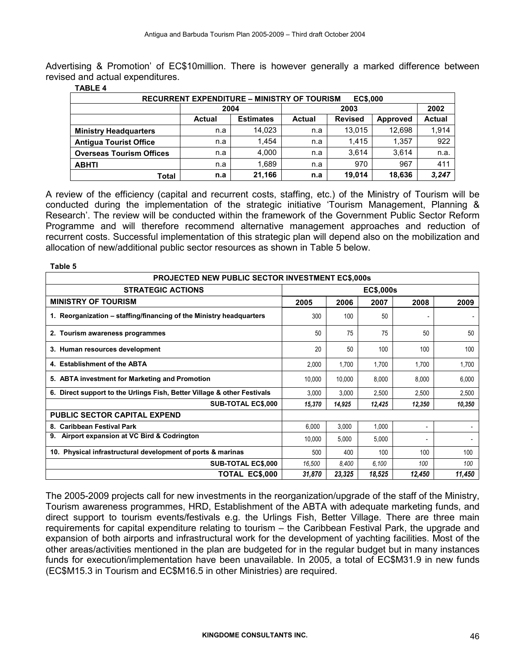Advertising & Promotion' of EC\$10million. There is however generally a marked difference between revised and actual expenditures.

| <b>RECURRENT EXPENDITURE – MINISTRY OF TOURISM</b><br><b>EC\$,000</b> |               |                  |               |                |                 |               |
|-----------------------------------------------------------------------|---------------|------------------|---------------|----------------|-----------------|---------------|
|                                                                       | 2004          |                  | 2003          |                |                 | 2002          |
|                                                                       | <b>Actual</b> | <b>Estimates</b> | <b>Actual</b> | <b>Revised</b> | <b>Approved</b> | <b>Actual</b> |
| <b>Ministry Headquarters</b>                                          | n.a           | 14.023           | n.a           | 13.015         | 12.698          | 1,914         |
| <b>Antigua Tourist Office</b>                                         | n.a           | 1.454            | n.a           | 1.415          | 1.357           | 922           |
| <b>Overseas Tourism Offices</b>                                       | n.a           | 4,000            | n.a           | 3.614          | 3.614           | n.a.          |
| <b>ABHTI</b>                                                          | n.a           | 1.689            | n.a           | 970            | 967             | 411           |
| Total                                                                 | n.a           | 21.166           | n.a           | 19.014         | 18.636          | 3,247         |

#### TABLE 4

Table 5

A review of the efficiency (capital and recurrent costs, staffing, etc.) of the Ministry of Tourism will be conducted during the implementation of the strategic initiative 'Tourism Management, Planning & Research'. The review will be conducted within the framework of the Government Public Sector Reform Programme and will therefore recommend alternative management approaches and reduction of recurrent costs. Successful implementation of this strategic plan will depend also on the mobilization and allocation of new/additional public sector resources as shown in Table 5 below.

| <b>PROJECTED NEW PUBLIC SECTOR INVESTMENT EC\$,000s</b>                 |           |        |        |        |        |  |  |  |  |  |  |
|-------------------------------------------------------------------------|-----------|--------|--------|--------|--------|--|--|--|--|--|--|
| <b>STRATEGIC ACTIONS</b>                                                | EC\$,000s |        |        |        |        |  |  |  |  |  |  |
| <b>MINISTRY OF TOURISM</b>                                              | 2005      | 2006   | 2007   | 2008   | 2009   |  |  |  |  |  |  |
| 1. Reorganization – staffing/financing of the Ministry headquarters     | 300       | 100    | 50     |        |        |  |  |  |  |  |  |
| 2. Tourism awareness programmes                                         | 50        | 75     | 75     | 50     | 50     |  |  |  |  |  |  |
| 3. Human resources development                                          | 20        | 50     | 100    | 100    | 100    |  |  |  |  |  |  |
| 4. Establishment of the ABTA                                            | 2,000     | 1,700  | 1,700  | 1,700  | 1,700  |  |  |  |  |  |  |
| 5. ABTA investment for Marketing and Promotion                          | 10,000    | 10,000 | 8,000  | 8,000  | 6,000  |  |  |  |  |  |  |
| 6. Direct support to the Urlings Fish, Better Village & other Festivals | 3,000     | 3,000  | 2,500  | 2,500  | 2,500  |  |  |  |  |  |  |
| <b>SUB-TOTAL EC\$,000</b>                                               | 15,370    | 14,925 | 12,425 | 12,350 | 10,350 |  |  |  |  |  |  |
| <b>PUBLIC SECTOR CAPITAL EXPEND</b>                                     |           |        |        |        |        |  |  |  |  |  |  |
| 8. Caribbean Festival Park                                              | 6,000     | 3,000  | 1,000  |        |        |  |  |  |  |  |  |
| Airport expansion at VC Bird & Codrington<br>9.                         | 10,000    | 5,000  | 5,000  |        |        |  |  |  |  |  |  |
| 10. Physical infrastructural development of ports & marinas             | 500       | 400    | 100    | 100    | 100    |  |  |  |  |  |  |
| <b>SUB-TOTAL EC\$,000</b>                                               | 16,500    | 8.400  | 6,100  | 100    | 100    |  |  |  |  |  |  |
| TOTAL EC\$,000                                                          | 31,870    | 23,325 | 18,525 | 12,450 | 11,450 |  |  |  |  |  |  |

The 2005-2009 projects call for new investments in the reorganization/upgrade of the staff of the Ministry, Tourism awareness programmes, HRD, Establishment of the ABTA with adequate marketing funds, and direct support to tourism events/festivals e.g. the Urlings Fish, Better Village. There are three main requirements for capital expenditure relating to tourism – the Caribbean Festival Park, the upgrade and expansion of both airports and infrastructural work for the development of yachting facilities. Most of the other areas/activities mentioned in the plan are budgeted for in the regular budget but in many instances funds for execution/implementation have been unavailable. In 2005, a total of EC\$M31.9 in new funds (EC\$M15.3 in Tourism and EC\$M16.5 in other Ministries) are required.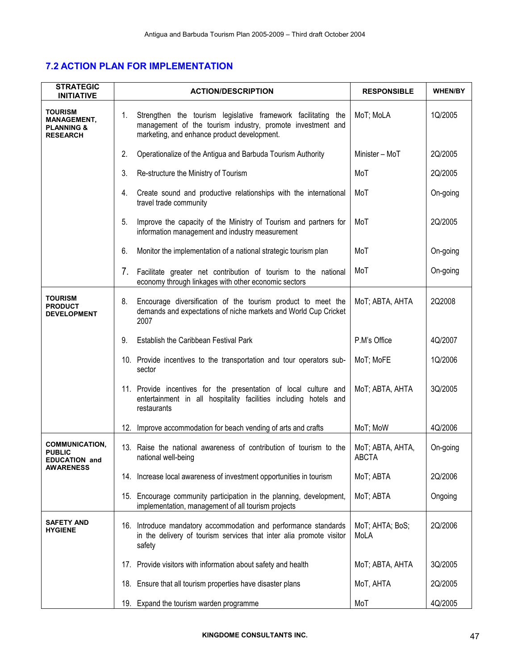## 7.2 ACTION PLAN FOR IMPLEMENTATION

| <b>STRATEGIC</b><br><b>INITIATIVE</b>                                            | <b>ACTION/DESCRIPTION</b>                                                                                                                                                        | <b>RESPONSIBLE</b>               | <b>WHEN/BY</b> |
|----------------------------------------------------------------------------------|----------------------------------------------------------------------------------------------------------------------------------------------------------------------------------|----------------------------------|----------------|
| <b>TOURISM</b><br><b>MANAGEMENT,</b><br><b>PLANNING &amp;</b><br><b>RESEARCH</b> | Strengthen the tourism legislative framework facilitating the<br>1.<br>management of the tourism industry, promote investment and<br>marketing, and enhance product development. | MoT; MoLA                        | 1Q/2005        |
|                                                                                  | 2.<br>Operationalize of the Antigua and Barbuda Tourism Authority                                                                                                                | Minister - MoT                   | 2Q/2005        |
|                                                                                  | 3.<br>Re-structure the Ministry of Tourism                                                                                                                                       | MoT                              | 2Q/2005        |
|                                                                                  | Create sound and productive relationships with the international<br>4.<br>travel trade community                                                                                 | MoT                              | On-going       |
|                                                                                  | Improve the capacity of the Ministry of Tourism and partners for<br>5.<br>information management and industry measurement                                                        | MoT                              | 2Q/2005        |
|                                                                                  | Monitor the implementation of a national strategic tourism plan<br>6.                                                                                                            | MoT                              | On-going       |
|                                                                                  | 7.<br>Facilitate greater net contribution of tourism to the national<br>economy through linkages with other economic sectors                                                     | MoT                              | On-going       |
| <b>TOURISM</b><br><b>PRODUCT</b><br><b>DEVELOPMENT</b>                           | Encourage diversification of the tourism product to meet the<br>8.<br>demands and expectations of niche markets and World Cup Cricket<br>2007                                    | MoT; ABTA, AHTA                  | 2Q2008         |
|                                                                                  | 9.<br>Establish the Caribbean Festival Park                                                                                                                                      | P.M's Office                     | 4Q/2007        |
|                                                                                  | 10. Provide incentives to the transportation and tour operators sub-<br>sector                                                                                                   | MoT; MoFE                        | 1Q/2006        |
|                                                                                  | 11. Provide incentives for the presentation of local culture and<br>entertainment in all hospitality facilities including hotels and<br>restaurants                              | MoT; ABTA, AHTA                  | 3Q/2005        |
|                                                                                  | Improve accommodation for beach vending of arts and crafts<br>12.                                                                                                                | MoT; MoW                         | 4Q/2006        |
| <b>COMMUNICATION,</b><br><b>PUBLIC</b><br><b>DUCATION and</b>                    | 13. Raise the national awareness of contribution of tourism to the<br>national well-being                                                                                        | MoT; ABTA, AHTA,<br><b>ABCTA</b> | On-going       |
| <b>AWARENESS</b>                                                                 | 14. Increase local awareness of investment opportunities in tourism                                                                                                              | MoT; ABTA                        | 2Q/2006        |
|                                                                                  | 15. Encourage community participation in the planning, development,<br>implementation, management of all tourism projects                                                        | MoT; ABTA                        | Ongoing        |
| <b>SAFETY AND</b><br><b>HYGIENE</b>                                              | 16. Introduce mandatory accommodation and performance standards<br>in the delivery of tourism services that inter alia promote visitor<br>safety                                 | MoT; AHTA; BoS;<br>MoLA          | 2Q/2006        |
|                                                                                  | 17. Provide visitors with information about safety and health                                                                                                                    | MoT; ABTA, AHTA                  | 3Q/2005        |
|                                                                                  | 18. Ensure that all tourism properties have disaster plans                                                                                                                       | MoT, AHTA                        | 2Q/2005        |
|                                                                                  | 19. Expand the tourism warden programme                                                                                                                                          | MoT                              | 4Q/2005        |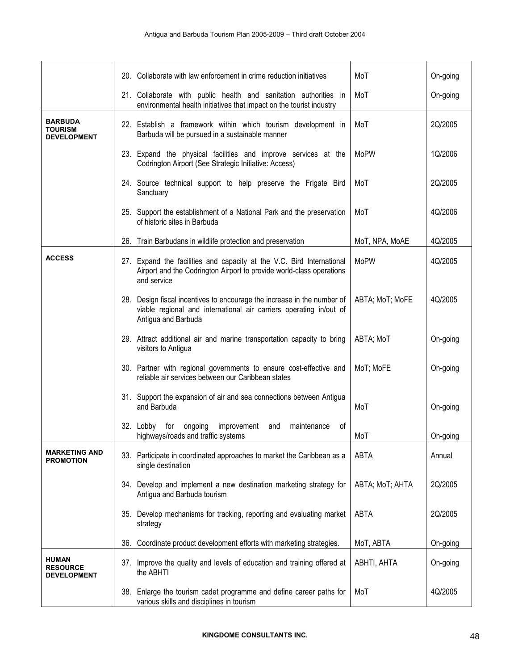|                                                        | 20. Collaborate with law enforcement in crime reduction initiatives                                                                                                  | MoT             | On-going |
|--------------------------------------------------------|----------------------------------------------------------------------------------------------------------------------------------------------------------------------|-----------------|----------|
|                                                        | 21. Collaborate with public health and sanitation authorities in<br>environmental health initiatives that impact on the tourist industry                             | MoT             | On-going |
| <b>BARBUDA</b><br><b>TOURISM</b><br><b>DEVELOPMENT</b> | 22. Establish a framework within which tourism development in<br>Barbuda will be pursued in a sustainable manner                                                     | MoT             | 2Q/2005  |
|                                                        | 23. Expand the physical facilities and improve services at the<br>Codrington Airport (See Strategic Initiative: Access)                                              | <b>MoPW</b>     | 1Q/2006  |
|                                                        | 24. Source technical support to help preserve the Frigate Bird<br>Sanctuary                                                                                          | MoT             | 2Q/2005  |
|                                                        | 25. Support the establishment of a National Park and the preservation<br>of historic sites in Barbuda                                                                | MoT             | 4Q/2006  |
|                                                        | Train Barbudans in wildlife protection and preservation<br>26.                                                                                                       | MoT, NPA, MoAE  | 4Q/2005  |
| <b>ACCESS</b>                                          | 27. Expand the facilities and capacity at the V.C. Bird International<br>Airport and the Codrington Airport to provide world-class operations<br>and service         | <b>MoPW</b>     | 4Q/2005  |
|                                                        | 28. Design fiscal incentives to encourage the increase in the number of<br>viable regional and international air carriers operating in/out of<br>Antigua and Barbuda | ABTA; MoT; MoFE | 4Q/2005  |
|                                                        | 29. Attract additional air and marine transportation capacity to bring<br>visitors to Antigua                                                                        | ABTA; MoT       | On-going |
|                                                        | 30. Partner with regional governments to ensure cost-effective and<br>reliable air services between our Caribbean states                                             | MoT; MoFE       | On-going |
|                                                        | 31. Support the expansion of air and sea connections between Antigua<br>and Barbuda                                                                                  | MoT             | On-going |
|                                                        | 32. Lobby<br>for<br>ongoing improvement<br>maintenance<br>οf<br>and<br>highways/roads and traffic systems                                                            | MoT             | On-going |
| <b>MARKETING AND</b><br><b>PROMOTION</b>               | 33. Participate in coordinated approaches to market the Caribbean as a<br>single destination                                                                         | <b>ABTA</b>     | Annual   |
|                                                        | 34. Develop and implement a new destination marketing strategy for<br>Antigua and Barbuda tourism                                                                    | ABTA; MoT; AHTA | 2Q/2005  |
|                                                        | 35. Develop mechanisms for tracking, reporting and evaluating market<br>strategy                                                                                     | <b>ABTA</b>     | 2Q/2005  |
|                                                        | Coordinate product development efforts with marketing strategies.<br>36.                                                                                             | MoT, ABTA       | On-going |
| <b>HUMAN</b><br><b>RESOURCE</b><br><b>DEVELOPMENT</b>  | 37. Improve the quality and levels of education and training offered at<br>the ABHTI                                                                                 | ABHTI, AHTA     | On-going |
|                                                        | 38. Enlarge the tourism cadet programme and define career paths for<br>various skills and disciplines in tourism                                                     | MoT             | 4Q/2005  |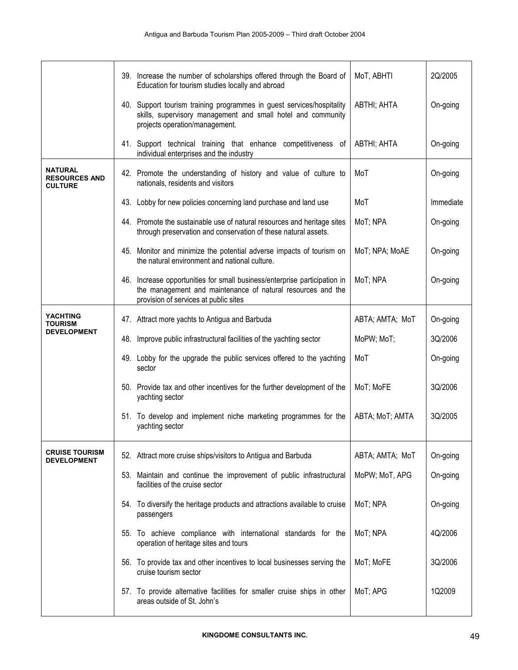|                                                          | 39. Increase the number of scholarships offered through the Board of<br>Education for tourism studies locally and abroad                                                          | MoT, ABHTI      | 2Q/2005   |
|----------------------------------------------------------|-----------------------------------------------------------------------------------------------------------------------------------------------------------------------------------|-----------------|-----------|
|                                                          | 40. Support tourism training programmes in guest services/hospitality<br>skills, supervisory management and small hotel and community<br>projects operation/management.           | ABTHI; AHTA     | On-going  |
|                                                          | 41. Support technical training that enhance competitiveness of<br>individual enterprises and the industry                                                                         | ABTHI; AHTA     | On-going  |
| <b>NATURAL</b><br><b>RESOURCES AND</b><br><b>CULTURE</b> | 42. Promote the understanding of history and value of culture to<br>nationals, residents and visitors                                                                             | MoT             | On-going  |
|                                                          | 43. Lobby for new policies concerning land purchase and land use                                                                                                                  | MoT             | Immediate |
|                                                          | 44. Promote the sustainable use of natural resources and heritage sites<br>through preservation and conservation of these natural assets.                                         | MoT; NPA        | On-going  |
|                                                          | 45. Monitor and minimize the potential adverse impacts of tourism on<br>the natural environment and national culture.                                                             | MoT; NPA; MoAE  | On-going  |
|                                                          | 46. Increase opportunities for small business/enterprise participation in<br>the management and maintenance of natural resources and the<br>provision of services at public sites | MoT; NPA        | On-going  |
| YACHTING<br>TOURISM                                      | 47. Attract more yachts to Antigua and Barbuda                                                                                                                                    | ABTA; AMTA; MoT | On-going  |
| <b>DEVELOPMENT</b>                                       | 48. Improve public infrastructural facilities of the yachting sector                                                                                                              | MoPW; MoT;      | 3Q/2006   |
|                                                          | 49. Lobby for the upgrade the public services offered to the yachting<br>sector                                                                                                   | MoT             | On-going  |
|                                                          | 50. Provide tax and other incentives for the further development of the<br>yachting sector                                                                                        | MoT; MoFE       | 3Q/2006   |
|                                                          | 51. To develop and implement niche marketing programmes for the<br>yachting sector                                                                                                | ABTA; MoT; AMTA | 3Q/2005   |
| <b>CRUISE TOURISM</b><br><b>DEVELOPMENT</b>              | 52. Attract more cruise ships/visitors to Antigua and Barbuda                                                                                                                     | ABTA; AMTA; MoT | On-going  |
|                                                          | 53. Maintain and continue the improvement of public infrastructural<br>facilities of the cruise sector                                                                            | MoPW; MoT, APG  | On-going  |
|                                                          | 54. To diversify the heritage products and attractions available to cruise<br>passengers                                                                                          | MoT; NPA        | On-going  |
|                                                          | 55. To achieve compliance with international standards for the<br>operation of heritage sites and tours                                                                           | MoT; NPA        | 4Q/2006   |
|                                                          | 56. To provide tax and other incentives to local businesses serving the<br>cruise tourism sector                                                                                  | MoT; MoFE       | 3Q/2006   |
|                                                          | 57. To provide alternative facilities for smaller cruise ships in other<br>areas outside of St. John's                                                                            | MoT; APG        | 1Q2009    |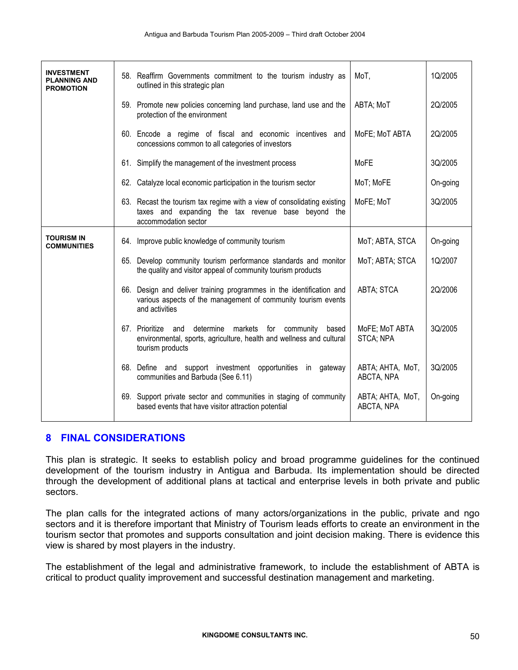| <b>INVESTMENT</b><br><b>PLANNING AND</b><br><b>PROMOTION</b> | 58. Reaffirm Governments commitment to the tourism industry as<br>outlined in this strategic plan                                                       | MoT,                           | 1Q/2005  |
|--------------------------------------------------------------|---------------------------------------------------------------------------------------------------------------------------------------------------------|--------------------------------|----------|
|                                                              | 59. Promote new policies concerning land purchase, land use and the<br>protection of the environment                                                    | ABTA; MoT                      | 2Q/2005  |
|                                                              | 60. Encode a regime of fiscal and economic incentives and<br>concessions common to all categories of investors                                          | MoFE; MoT ABTA                 | 2Q/2005  |
|                                                              | 61. Simplify the management of the investment process                                                                                                   | <b>MoFE</b>                    | 3Q/2005  |
|                                                              | 62. Catalyze local economic participation in the tourism sector                                                                                         | MoT; MoFE                      | On-going |
|                                                              | 63. Recast the tourism tax regime with a view of consolidating existing<br>taxes and expanding the tax revenue base beyond the<br>accommodation sector  | MoFE; MoT                      | 3Q/2005  |
| <b>TOURISM IN</b><br><b>COMMUNITIES</b>                      | 64. Improve public knowledge of community tourism                                                                                                       | MoT; ABTA, STCA                | On-going |
|                                                              | 65. Develop community tourism performance standards and monitor<br>the quality and visitor appeal of community tourism products                         | MoT; ABTA; STCA                | 1Q/2007  |
|                                                              | 66. Design and deliver training programmes in the identification and<br>various aspects of the management of community tourism events<br>and activities | ABTA; STCA                     | 2Q/2006  |
|                                                              | 67. Prioritize and determine<br>markets for community based<br>environmental, sports, agriculture, health and wellness and cultural<br>tourism products | MoFE; MoT ABTA<br>STCA; NPA    | 3Q/2005  |
|                                                              | 68. Define and support investment opportunities in<br>gateway<br>communities and Barbuda (See 6.11)                                                     | ABTA; AHTA, MoT,<br>ABCTA, NPA | 3Q/2005  |
|                                                              | 69. Support private sector and communities in staging of community<br>based events that have visitor attraction potential                               | ABTA; AHTA, MoT,<br>ABCTA, NPA | On-going |

## 8 FINAL CONSIDERATIONS

This plan is strategic. It seeks to establish policy and broad programme guidelines for the continued development of the tourism industry in Antigua and Barbuda. Its implementation should be directed through the development of additional plans at tactical and enterprise levels in both private and public sectors.

The plan calls for the integrated actions of many actors/organizations in the public, private and ngo sectors and it is therefore important that Ministry of Tourism leads efforts to create an environment in the tourism sector that promotes and supports consultation and joint decision making. There is evidence this view is shared by most players in the industry.

The establishment of the legal and administrative framework, to include the establishment of ABTA is critical to product quality improvement and successful destination management and marketing.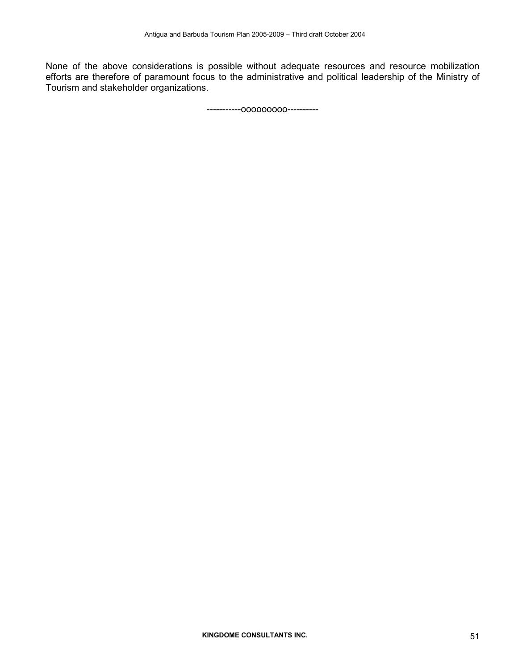None of the above considerations is possible without adequate resources and resource mobilization efforts are therefore of paramount focus to the administrative and political leadership of the Ministry of Tourism and stakeholder organizations.

-----------ooooooooo----------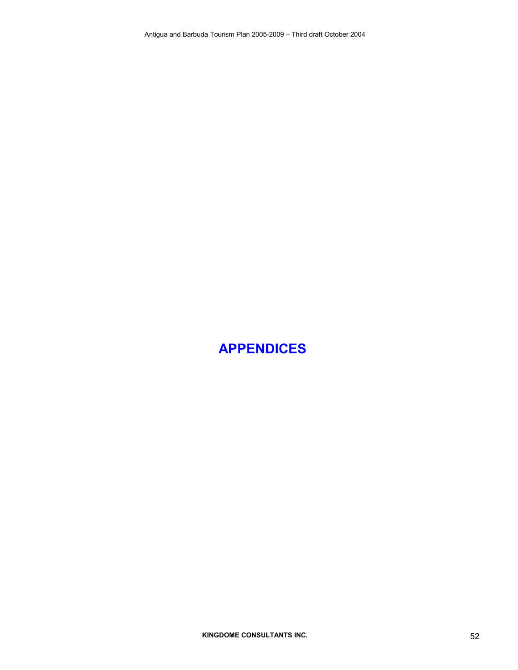## APPENDICES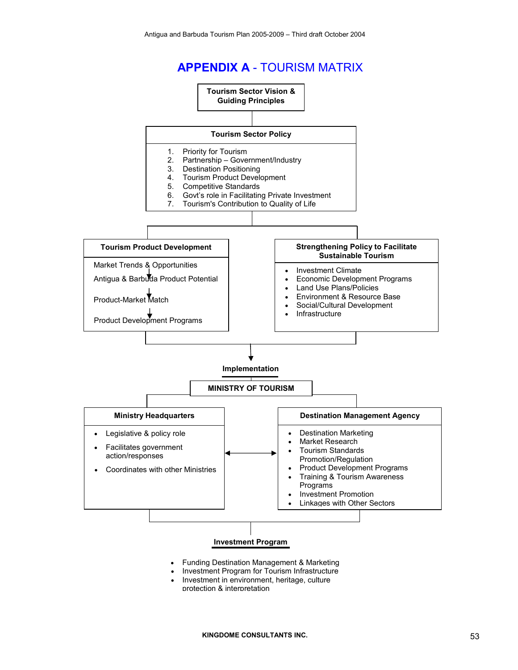## APPENDIX A - TOURISM MATRIX



- Funding Destination Management & Marketing
- Investment Program for Tourism Infrastructure
- Investment in environment, heritage, culture protection & interpretation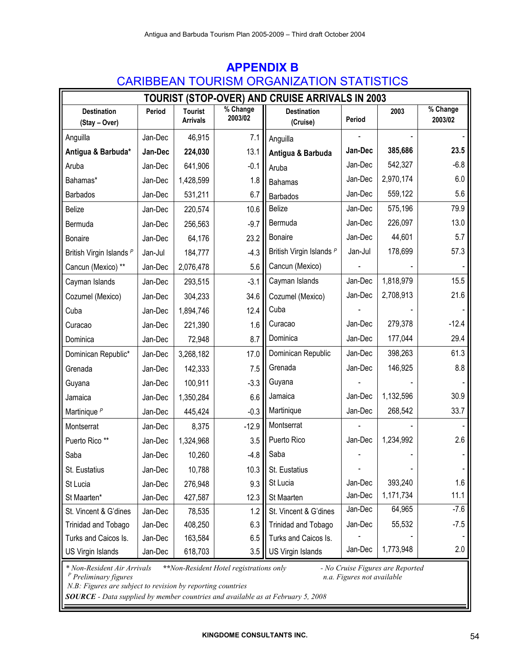| <b>TOURIST (STOP-OVER) AND CRUISE ARRIVALS IN 2003</b> |         |                                   |                     |                                |         |           |                     |  |  |  |
|--------------------------------------------------------|---------|-----------------------------------|---------------------|--------------------------------|---------|-----------|---------------------|--|--|--|
| <b>Destination</b><br>(Stay - Over)                    | Period  | <b>Tourist</b><br><b>Arrivals</b> | % Change<br>2003/02 | <b>Destination</b><br>(Cruise) | Period  | 2003      | % Change<br>2003/02 |  |  |  |
| Anguilla                                               | Jan-Dec | 46,915                            | 7.1                 | Anguilla                       |         |           |                     |  |  |  |
| Antigua & Barbuda*                                     | Jan-Dec | 224,030                           | 13.1                | Antigua & Barbuda              | Jan-Dec | 385,686   | 23.5                |  |  |  |
| Aruba                                                  | Jan-Dec | 641,906                           | $-0.1$              | Aruba                          | Jan-Dec | 542,327   | $-6.8$              |  |  |  |
| Bahamas*                                               | Jan-Dec | 1,428,599                         | 1.8                 | <b>Bahamas</b>                 | Jan-Dec | 2,970,174 | 6.0                 |  |  |  |
| <b>Barbados</b>                                        | Jan-Dec | 531,211                           | 6.7                 | <b>Barbados</b>                | Jan-Dec | 559,122   | 5.6                 |  |  |  |
| <b>Belize</b>                                          | Jan-Dec | 220,574                           | 10.6                | Belize                         | Jan-Dec | 575,196   | 79.9                |  |  |  |
| Bermuda                                                | Jan-Dec | 256,563                           | $-9.7$              | Bermuda                        | Jan-Dec | 226,097   | 13.0                |  |  |  |
| <b>Bonaire</b>                                         | Jan-Dec | 64,176                            | 23.2                | <b>Bonaire</b>                 | Jan-Dec | 44,601    | 5.7                 |  |  |  |
| British Virgin Islands P                               | Jan-Jul | 184,777                           | $-4.3$              | British Virgin Islands P       | Jan-Jul | 178,699   | 57.3                |  |  |  |
| Cancun (Mexico) **                                     | Jan-Dec | 2,076,478                         | 5.6                 | Cancun (Mexico)                |         |           |                     |  |  |  |
| Cayman Islands                                         | Jan-Dec | 293,515                           | $-3.1$              | Cayman Islands                 | Jan-Dec | 1,818,979 | 15.5                |  |  |  |
| Cozumel (Mexico)                                       | Jan-Dec | 304,233                           | 34.6                | Cozumel (Mexico)               | Jan-Dec | 2,708,913 | 21.6                |  |  |  |
| Cuba                                                   | Jan-Dec | 1,894,746                         | 12.4                | Cuba                           |         |           |                     |  |  |  |
| Curacao                                                | Jan-Dec | 221,390                           | 1.6                 | Curacao                        | Jan-Dec | 279,378   | $-12.4$             |  |  |  |
| Dominica                                               | Jan-Dec | 72,948                            | 8.7                 | Dominica                       | Jan-Dec | 177,044   | 29.4                |  |  |  |
| Dominican Republic*                                    | Jan-Dec | 3,268,182                         | 17.0                | Dominican Republic             | Jan-Dec | 398,263   | 61.3                |  |  |  |
| Grenada                                                | Jan-Dec | 142,333                           | 7.5                 | Grenada                        | Jan-Dec | 146,925   | 8.8                 |  |  |  |
| Guyana                                                 | Jan-Dec | 100,911                           | $-3.3$              | Guyana                         |         |           |                     |  |  |  |
| Jamaica                                                | Jan-Dec | 1,350,284                         | 6.6                 | Jamaica                        | Jan-Dec | 1,132,596 | 30.9                |  |  |  |
| Martinique <sup>P</sup>                                | Jan-Dec | 445,424                           | $-0.3$              | Martinique                     | Jan-Dec | 268,542   | 33.7                |  |  |  |
| Montserrat                                             | Jan-Dec | 8,375                             | $-12.9$             | Montserrat                     |         |           |                     |  |  |  |
| Puerto Rico **                                         | Jan-Dec | 1,324,968                         | 3.5                 | Puerto Rico                    | Jan-Dec | 1,234,992 | 2.6                 |  |  |  |
| Saba                                                   | Jan-Dec | 10,260                            | $-4.8$              | Saba                           |         |           |                     |  |  |  |
| St. Eustatius                                          | Jan-Dec | 10,788                            | 10.3                | St. Eustatius                  |         |           |                     |  |  |  |
| St Lucia                                               | Jan-Dec | 276,948                           | 9.3                 | St Lucia                       | Jan-Dec | 393,240   | 1.6                 |  |  |  |
| St Maarten*                                            | Jan-Dec | 427,587                           | 12.3                | St Maarten                     | Jan-Dec | 1,171,734 | 11.1                |  |  |  |
| St. Vincent & G'dines                                  | Jan-Dec | 78,535                            | 1.2                 | St. Vincent & G'dines          | Jan-Dec | 64,965    | $-7.6$              |  |  |  |
| Trinidad and Tobago                                    | Jan-Dec | 408,250                           | 6.3                 | Trinidad and Tobago            | Jan-Dec | 55,532    | $-7.5$              |  |  |  |
| Turks and Caicos Is.                                   | Jan-Dec | 163,584                           | 6.5                 | Turks and Caicos Is.           |         |           |                     |  |  |  |
| US Virgin Islands                                      | Jan-Dec | 618,703                           | 3.5                 | US Virgin Islands              | Jan-Dec | 1,773,948 | 2.0                 |  |  |  |

## APPENDIX B CARIBBEAN TOURISM ORGANIZATION STATISTICS

\*\*Non-Resident Hotel registrations only - No Cruise Figures are Reported<br>n.a. Figures not available  $*$  Non-Resident Air Arrivals<br> $P$  Preliminary figures

N.B: Figures are subject to revision by reporting countries

SOURCE - Data supplied by member countries and available as at February 5, 2008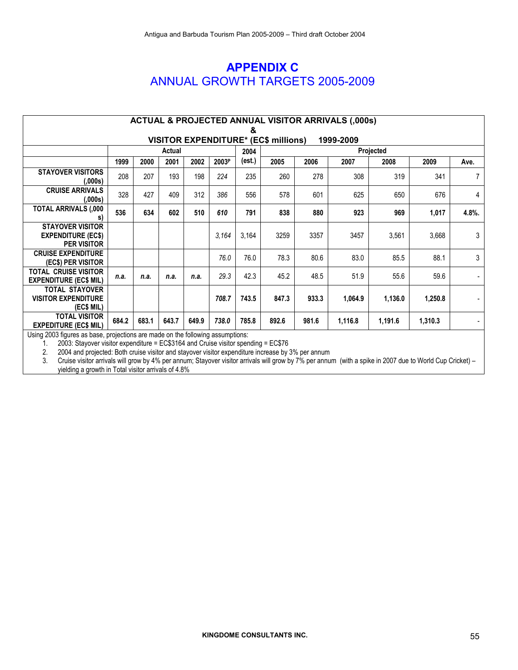## APPENDIX C ANNUAL GROWTH TARGETS 2005-2009

| <b>ACTUAL &amp; PROJECTED ANNUAL VISITOR ARRIVALS (,000s)</b>                                                                             |       |       |        |       |       |       |       |           |         |         |         |                |
|-------------------------------------------------------------------------------------------------------------------------------------------|-------|-------|--------|-------|-------|-------|-------|-----------|---------|---------|---------|----------------|
| &                                                                                                                                         |       |       |        |       |       |       |       |           |         |         |         |                |
| <b>VISITOR EXPENDITURE* (EC\$ millions)</b><br>1999-2009                                                                                  |       |       |        |       |       |       |       |           |         |         |         |                |
|                                                                                                                                           |       |       | Actual |       |       | 2004  |       | Projected |         |         |         |                |
|                                                                                                                                           | 1999  | 2000  | 2001   | 2002  | 2003P | est.) | 2005  | 2006      | 2007    | 2008    | 2009    | Ave.           |
| <b>STAYOVER VISITORS</b><br>(.000s)                                                                                                       | 208   | 207   | 193    | 198   | 224   | 235   | 260   | 278       | 308     | 319     | 341     | $\overline{7}$ |
| <b>CRUISE ARRIVALS</b><br>(.000s)                                                                                                         | 328   | 427   | 409    | 312   | 386   | 556   | 578   | 601       | 625     | 650     | 676     | 4              |
| TOTAL ARRIVALS (,000<br>S)                                                                                                                | 536   | 634   | 602    | 510   | 610   | 791   | 838   | 880       | 923     | 969     | 1,017   | 4.8%.          |
| <b>STAYOVER VISITOR</b><br><b>EXPENDITURE (EC\$)</b><br><b>PER VISITOR</b>                                                                |       |       |        |       | 3,164 | 3,164 | 3259  | 3357      | 3457    | 3,561   | 3,668   | 3              |
| <b>CRUISE EXPENDITURE</b><br><b>(EC\$) PER VISITOR</b>                                                                                    |       |       |        |       | 76.0  | 76.0  | 78.3  | 80.6      | 83.0    | 85.5    | 88.1    | 3              |
| <b>TOTAL CRUISE VISITOR</b><br><b>EXPENDITURE (EC\$ MIL)</b>                                                                              | n.a.  | n.a.  | n.a.   | n.a.  | 29.3  | 42.3  | 45.2  | 48.5      | 51.9    | 55.6    | 59.6    |                |
| <b>TOTAL STAYOVER</b><br><b>VISITOR EXPENDITURE</b><br>(EC\$ MIL)                                                                         |       |       |        |       | 708.7 | 743.5 | 847.3 | 933.3     | 1,064.9 | 1,136.0 | 1,250.8 |                |
| <b>TOTAL VISITOR</b><br><b>EXPEDITURE (EC\$ MIL)</b><br>Llaine 0000 finites as hans institutions are mode on the following accumulations. | 684.2 | 683.1 | 643.7  | 649.9 | 738.0 | 785.8 | 892.6 | 981.6     | 1,116.8 | 1,191.6 | 1,310.3 |                |

Using 2003 figures as base, projections are made on the following assumptions:

1. 2003: Stayover visitor expenditure = EC\$3164 and Cruise visitor spending = EC\$76<br>2. 2004 and projected: Both cruise visitor and stayover visitor expenditure increase by

2. 2004 and projected: Both cruise visitor and stayover visitor expenditure increase by 3% per annum

3. Cruise visitor arrivals will grow by 4% per annum; Stayover visitor arrivals will grow by 7% per annum (with a spike in 2007 due to World Cup Cricket) – yielding a growth in Total visitor arrivals of 4.8%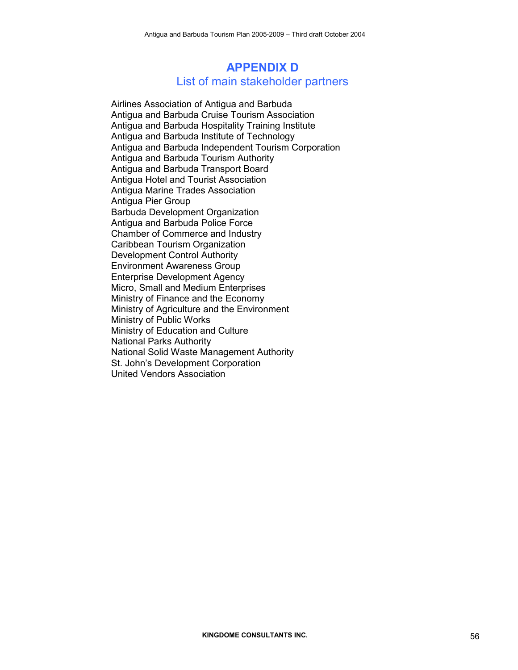## APPENDIX D List of main stakeholder partners

Airlines Association of Antigua and Barbuda Antigua and Barbuda Cruise Tourism Association Antigua and Barbuda Hospitality Training Institute Antigua and Barbuda Institute of Technology Antigua and Barbuda Independent Tourism Corporation Antigua and Barbuda Tourism Authority Antigua and Barbuda Transport Board Antigua Hotel and Tourist Association Antigua Marine Trades Association Antigua Pier Group Barbuda Development Organization Antigua and Barbuda Police Force Chamber of Commerce and Industry Caribbean Tourism Organization Development Control Authority Environment Awareness Group Enterprise Development Agency Micro, Small and Medium Enterprises Ministry of Finance and the Economy Ministry of Agriculture and the Environment Ministry of Public Works Ministry of Education and Culture National Parks Authority National Solid Waste Management Authority St. John's Development Corporation United Vendors Association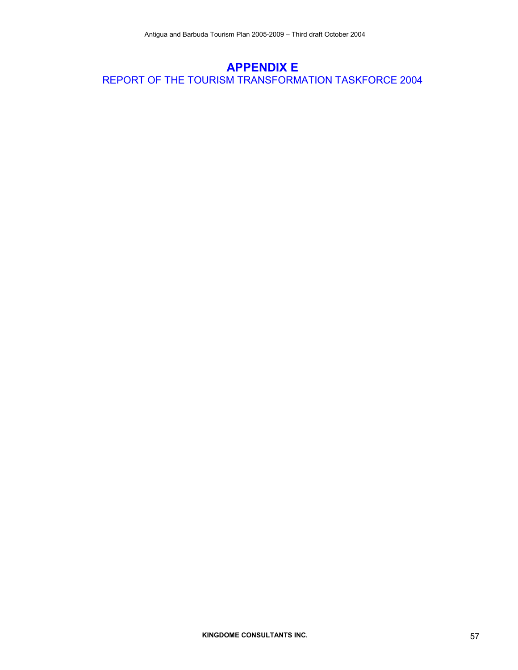## APPENDIX E REPORT OF THE TOURISM TRANSFORMATION TASKFORCE 2004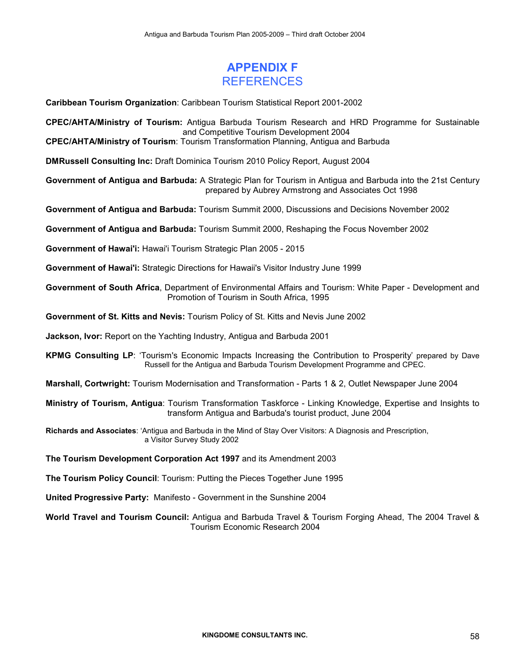## APPENDIX F REFERENCES

Caribbean Tourism Organization: Caribbean Tourism Statistical Report 2001-2002

CPEC/AHTA/Ministry of Tourism: Antigua Barbuda Tourism Research and HRD Programme for Sustainable and Competitive Tourism Development 2004

CPEC/AHTA/Ministry of Tourism: Tourism Transformation Planning, Antigua and Barbuda

DMRussell Consulting Inc: Draft Dominica Tourism 2010 Policy Report, August 2004

Government of Antigua and Barbuda: A Strategic Plan for Tourism in Antigua and Barbuda into the 21st Century prepared by Aubrey Armstrong and Associates Oct 1998

Government of Antigua and Barbuda: Tourism Summit 2000, Discussions and Decisions November 2002

Government of Antigua and Barbuda: Tourism Summit 2000, Reshaping the Focus November 2002

Government of Hawai'i: Hawai'i Tourism Strategic Plan 2005 - 2015

Government of Hawai'i: Strategic Directions for Hawaii's Visitor Industry June 1999

Government of South Africa, Department of Environmental Affairs and Tourism: White Paper - Development and Promotion of Tourism in South Africa, 1995

Government of St. Kitts and Nevis: Tourism Policy of St. Kitts and Nevis June 2002

Jackson, Ivor: Report on the Yachting Industry, Antigua and Barbuda 2001

KPMG Consulting LP: 'Tourism's Economic Impacts Increasing the Contribution to Prosperity' prepared by Dave Russell for the Antigua and Barbuda Tourism Development Programme and CPEC.

Marshall, Cortwright: Tourism Modernisation and Transformation - Parts 1 & 2, Outlet Newspaper June 2004

Ministry of Tourism, Antigua: Tourism Transformation Taskforce - Linking Knowledge, Expertise and Insights to transform Antigua and Barbuda's tourist product, June 2004

Richards and Associates: 'Antigua and Barbuda in the Mind of Stay Over Visitors: A Diagnosis and Prescription, a Visitor Survey Study 2002

The Tourism Development Corporation Act 1997 and its Amendment 2003

The Tourism Policy Council: Tourism: Putting the Pieces Together June 1995

United Progressive Party: Manifesto - Government in the Sunshine 2004

World Travel and Tourism Council: Antigua and Barbuda Travel & Tourism Forging Ahead, The 2004 Travel & Tourism Economic Research 2004